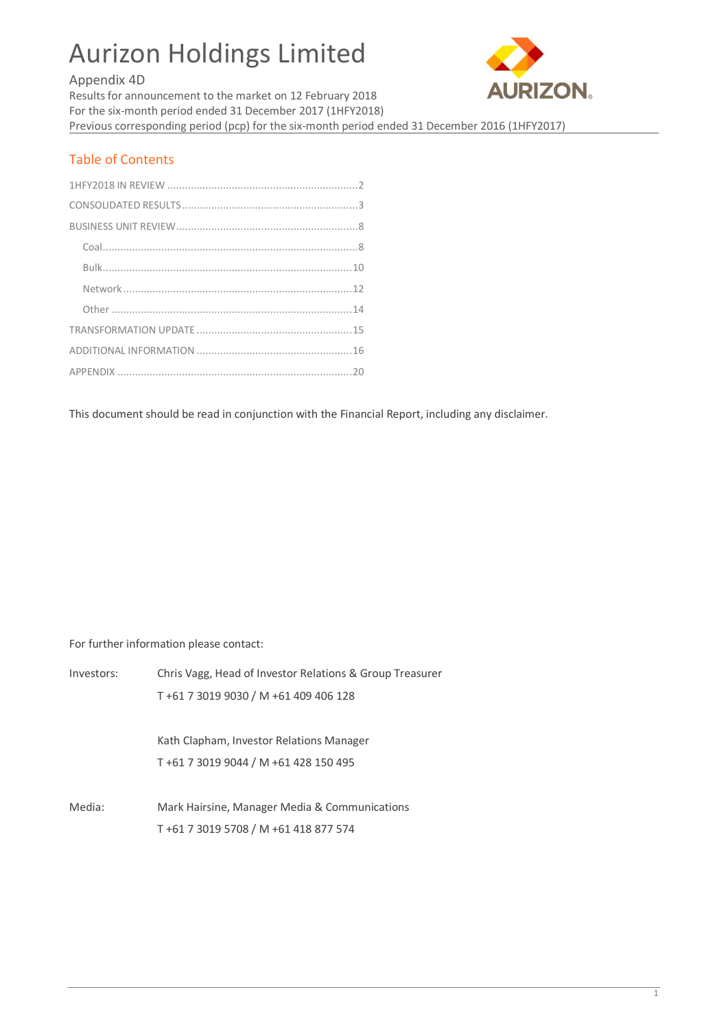# Aurizon Holdings Limited

# Appendix 4D



Results for announcement to the market on 12 February 2018 For the six-month period ended 31 December 2017 (1HFY2018) Previous corresponding period (pcp) for the six-month period ended 31 December 2016 (1HFY2017)

# Table of Contents

This document should be read in conjunction with the Financial Report, including any disclaimer.

For further information please contact:

| Investors: | Chris Vagg, Head of Investor Relations & Group Treasurer |
|------------|----------------------------------------------------------|
|            | T+61 7 3019 9030 / M +61 409 406 128                     |
|            |                                                          |
|            | Kath Clapham, Investor Relations Manager                 |
|            | T+61 7 3019 9044 / M +61 428 150 495                     |
|            |                                                          |
| Media:     | Mark Hairsine, Manager Media & Communications            |
|            | T+61 7 3019 5708 / M +61 418 877 574                     |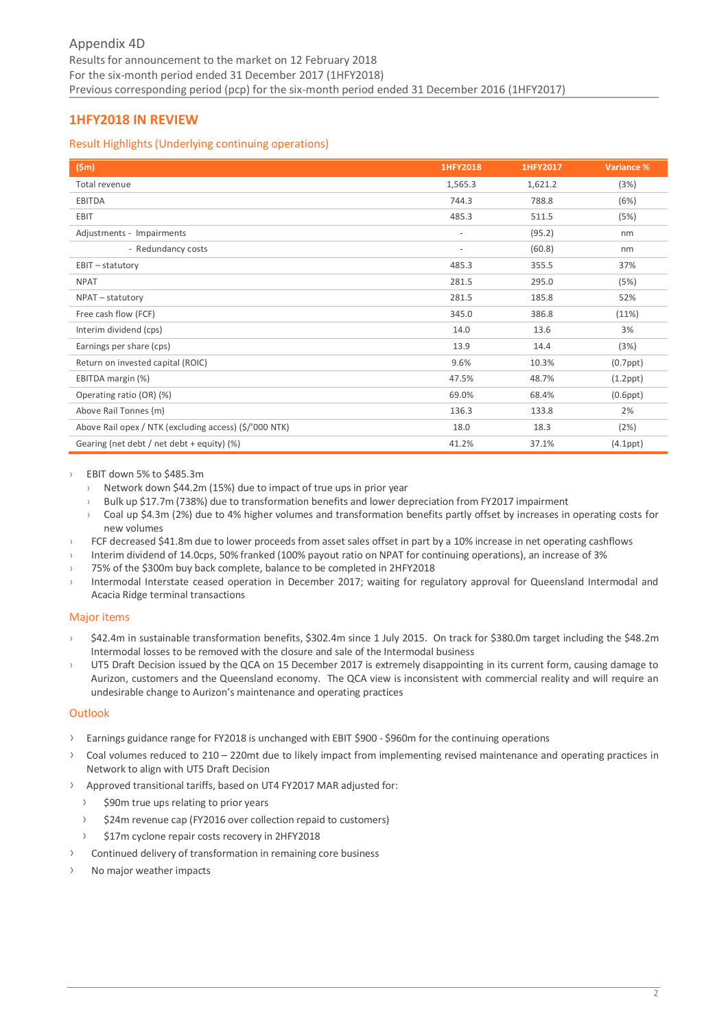# <span id="page-1-0"></span>**1HFY2018 IN REVIEW**

# Result Highlights (Underlying continuing operations)

| (Sm)                                                   | 1HFY2018                 | 1HFY2017 | <b>Variance %</b> |
|--------------------------------------------------------|--------------------------|----------|-------------------|
| Total revenue                                          | 1,565.3                  | 1,621.2  | (3%)              |
| <b>EBITDA</b>                                          | 744.3                    | 788.8    | (6%)              |
| EBIT                                                   | 485.3                    | 511.5    | (5%)              |
| Adjustments - Impairments                              | $\overline{\phantom{a}}$ | (95.2)   | nm                |
| - Redundancy costs                                     | $\overline{\phantom{a}}$ | (60.8)   | nm                |
| EBIT - statutory                                       | 485.3                    | 355.5    | 37%               |
| <b>NPAT</b>                                            | 281.5                    | 295.0    | (5%)              |
| NPAT - statutory                                       | 281.5                    | 185.8    | 52%               |
| Free cash flow (FCF)                                   | 345.0                    | 386.8    | (11%)             |
| Interim dividend (cps)                                 | 14.0                     | 13.6     | 3%                |
| Earnings per share (cps)                               | 13.9                     | 14.4     | (3%)              |
| Return on invested capital (ROIC)                      | 9.6%                     | 10.3%    | $(0.7$ ppt $)$    |
| EBITDA margin (%)                                      | 47.5%                    | 48.7%    | $(1.2$ ppt $)$    |
| Operating ratio (OR) (%)                               | 69.0%                    | 68.4%    | $(0.6$ ppt $)$    |
| Above Rail Tonnes (m)                                  | 136.3                    | 133.8    | 2%                |
| Above Rail opex / NTK (excluding access) (\$/'000 NTK) | 18.0                     | 18.3     | (2%)              |
| Gearing (net debt / net debt + equity) (%)             | 41.2%                    | 37.1%    | $(4.1$ ppt $)$    |

## EBIT down 5% to \$485.3m

- › Network down \$44.2m (15%) due to impact of true ups in prior year
- › Bulk up \$17.7m (738%) due to transformation benefits and lower depreciation from FY2017 impairment
- › Coal up \$4.3m (2%) due to 4% higher volumes and transformation benefits partly offset by increases in operating costs for new volumes
- FCF decreased \$41.8m due to lower proceeds from asset sales offset in part by a 10% increase in net operating cashflows
- › Interim dividend of 14.0cps, 50% franked (100% payout ratio on NPAT for continuing operations), an increase of 3%
- 75% of the \$300m buy back complete, balance to be completed in 2HFY2018
- Intermodal Interstate ceased operation in December 2017; waiting for regulatory approval for Queensland Intermodal and Acacia Ridge terminal transactions

# Major items

- \$42.4m in sustainable transformation benefits, \$302.4m since 1 July 2015. On track for \$380.0m target including the \$48.2m Intermodal losses to be removed with the closure and sale of the Intermodal business
- › UT5 Draft Decision issued by the QCA on 15 December 2017 is extremely disappointing in its current form, causing damage to Aurizon, customers and the Queensland economy. The QCA view is inconsistent with commercial reality and will require an undesirable change to Aurizon's maintenance and operating practices

# **Outlook**

- › Earnings guidance range for FY2018 is unchanged with EBIT \$900 \$960m for the continuing operations
- › Coal volumes reduced to 210 220mt due to likely impact from implementing revised maintenance and operating practices in Network to align with UT5 Draft Decision
- › Approved transitional tariffs, based on UT4 FY2017 MAR adjusted for:
	- › \$90m true ups relating to prior years
	- › \$24m revenue cap (FY2016 over collection repaid to customers)
	- \$17m cyclone repair costs recovery in 2HFY2018
- › Continued delivery of transformation in remaining core business
- No major weather impacts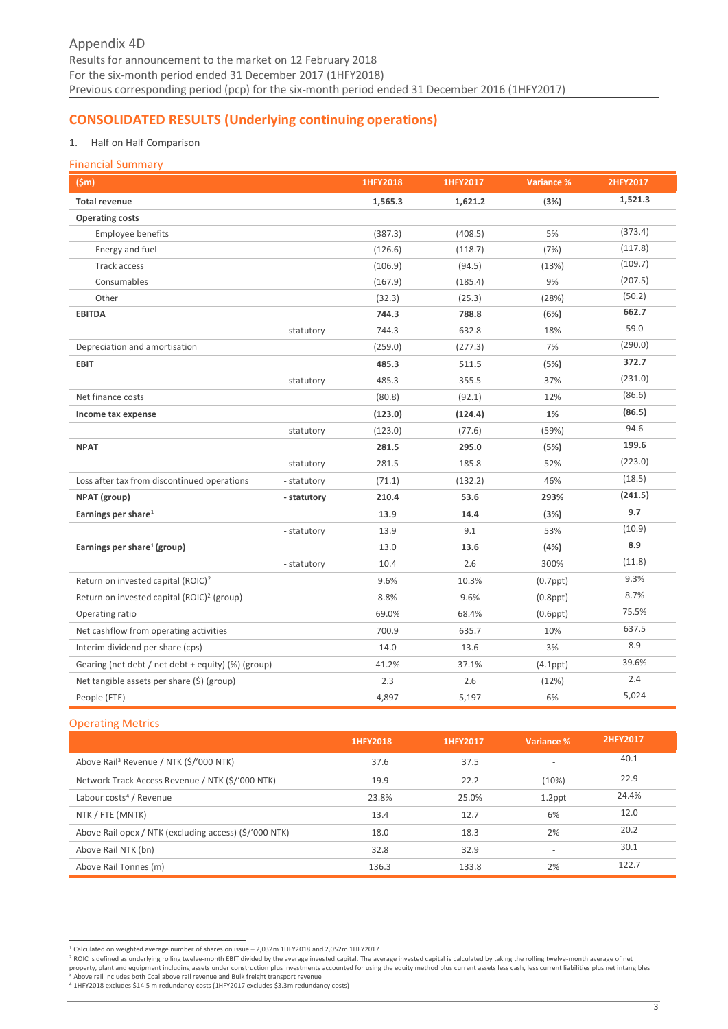# <span id="page-2-0"></span>**CONSOLIDATED RESULTS (Underlying continuing operations)**

# 1. Half on Half Comparison

## Financial Summary

| (Sm)                                                   |             | 1HFY2018 | 1HFY2017 | Variance %     | 2HFY2017 |
|--------------------------------------------------------|-------------|----------|----------|----------------|----------|
| <b>Total revenue</b>                                   |             | 1,565.3  | 1,621.2  | (3%)           | 1,521.3  |
| <b>Operating costs</b>                                 |             |          |          |                |          |
| Employee benefits                                      |             | (387.3)  | (408.5)  | 5%             | (373.4)  |
| Energy and fuel                                        |             | (126.6)  | (118.7)  | (7%)           | (117.8)  |
| Track access                                           |             | (106.9)  | (94.5)   | (13%)          | (109.7)  |
| Consumables                                            |             | (167.9)  | (185.4)  | 9%             | (207.5)  |
| Other                                                  |             | (32.3)   | (25.3)   | (28%)          | (50.2)   |
| <b>EBITDA</b>                                          |             | 744.3    | 788.8    | (6%)           | 662.7    |
|                                                        | - statutory | 744.3    | 632.8    | 18%            | 59.0     |
| Depreciation and amortisation                          |             | (259.0)  | (277.3)  | 7%             | (290.0)  |
| <b>EBIT</b>                                            |             | 485.3    | 511.5    | (5%)           | 372.7    |
|                                                        | - statutory | 485.3    | 355.5    | 37%            | (231.0)  |
| Net finance costs                                      |             | (80.8)   | (92.1)   | 12%            | (86.6)   |
| Income tax expense                                     |             | (123.0)  | (124.4)  | 1%             | (86.5)   |
|                                                        | - statutory | (123.0)  | (77.6)   | (59%)          | 94.6     |
| <b>NPAT</b>                                            |             | 281.5    | 295.0    | (5%)           | 199.6    |
|                                                        | - statutory | 281.5    | 185.8    | 52%            | (223.0)  |
| Loss after tax from discontinued operations            | - statutory | (71.1)   | (132.2)  | 46%            | (18.5)   |
| NPAT (group)                                           | - statutory | 210.4    | 53.6     | 293%           | (241.5)  |
| Earnings per share $1$                                 |             | 13.9     | 14.4     | (3%)           | 9.7      |
|                                                        | - statutory | 13.9     | 9.1      | 53%            | (10.9)   |
| Earnings per share <sup>1</sup> (group)                |             | 13.0     | 13.6     | (4%)           | 8.9      |
|                                                        | - statutory | 10.4     | 2.6      | 300%           | (11.8)   |
| Return on invested capital (ROIC) <sup>2</sup>         |             | 9.6%     | 10.3%    | $(0.7$ ppt $)$ | 9.3%     |
| Return on invested capital (ROIC) <sup>2</sup> (group) |             | 8.8%     | 9.6%     | $(0.8$ ppt $)$ | 8.7%     |
| Operating ratio                                        |             | 69.0%    | 68.4%    | $(0.6$ ppt $)$ | 75.5%    |
| Net cashflow from operating activities                 |             | 700.9    | 635.7    | 10%            | 637.5    |
| Interim dividend per share (cps)                       |             | 14.0     | 13.6     | 3%             | 8.9      |
| Gearing (net debt / net debt + equity) (%) (group)     |             | 41.2%    | 37.1%    | $(4.1$ ppt $)$ | 39.6%    |
| Net tangible assets per share (\$) (group)             |             | 2.3      | 2.6      | (12%)          | 2.4      |
| People (FTE)                                           |             | 4,897    | 5,197    | 6%             | 5,024    |

# Operating Metrics

|                                                        | 1HFY2018 | 1HFY2017 | Variance %               | 2HFY2017 |
|--------------------------------------------------------|----------|----------|--------------------------|----------|
| Above Rail <sup>3</sup> Revenue / NTK (\$/'000 NTK)    | 37.6     | 37.5     | $\overline{\phantom{a}}$ | 40.1     |
| Network Track Access Revenue / NTK (\$/'000 NTK)       | 19.9     | 22.2     | (10%)                    | 22.9     |
| Labour costs <sup>4</sup> / Revenue                    | 23.8%    | 25.0%    | $1.2$ ppt                | 24.4%    |
| NTK / FTE (MNTK)                                       | 13.4     | 12.7     | 6%                       | 12.0     |
| Above Rail opex / NTK (excluding access) (\$/'000 NTK) | 18.0     | 18.3     | 2%                       | 20.2     |
| Above Rail NTK (bn)                                    | 32.8     | 32.9     | $\sim$                   | 30.1     |
| Above Rail Tonnes (m)                                  | 136.3    | 133.8    | 2%                       | 122.7    |

\_<br><sup>1</sup> Calculated on weighted average number of shares on issue – 2,032m 1HFY2018 and 2,052m 1HFY2017<br><sup>2</sup> ROIC is defined as underlying rolling twelve-month EBIT divided by the average invested capital is calculated by taki <sup>3</sup> Above rail includes both Coal above rail revenue and Bulk freight transport revenue

<sup>4</sup> 1HFY2018 excludes \$14.5 m redundancy costs (1HFY2017 excludes \$3.3m redundancy costs)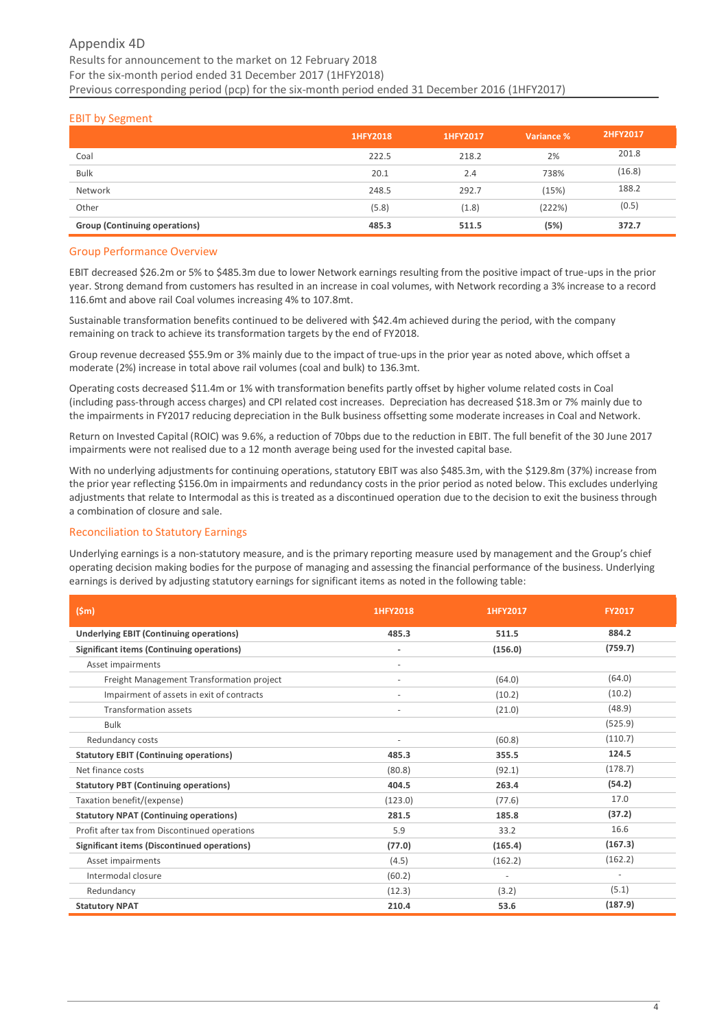# Appendix 4D Results for announcement to the market on 12 February 2018 For the six-month period ended 31 December 2017 (1HFY2018) Previous corresponding period (pcp) for the six-month period ended 31 December 2016 (1HFY2017)

# EBIT by Segment

|                                      | 1HFY2018 | 1HFY2017 | Variance % | 2HFY2017 |
|--------------------------------------|----------|----------|------------|----------|
| Coal                                 | 222.5    | 218.2    | 2%         | 201.8    |
| <b>Bulk</b>                          | 20.1     | 2.4      | 738%       | (16.8)   |
| Network                              | 248.5    | 292.7    | (15%)      | 188.2    |
| Other                                | (5.8)    | (1.8)    | (222%)     | (0.5)    |
| <b>Group (Continuing operations)</b> | 485.3    | 511.5    | (5%)       | 372.7    |

#### Group Performance Overview

EBIT decreased \$26.2m or 5% to \$485.3m due to lower Network earnings resulting from the positive impact of true-ups in the prior year. Strong demand from customers has resulted in an increase in coal volumes, with Network recording a 3% increase to a record 116.6mt and above rail Coal volumes increasing 4% to 107.8mt.

Sustainable transformation benefits continued to be delivered with \$42.4m achieved during the period, with the company remaining on track to achieve its transformation targets by the end of FY2018.

Group revenue decreased \$55.9m or 3% mainly due to the impact of true-ups in the prior year as noted above, which offset a moderate (2%) increase in total above rail volumes (coal and bulk) to 136.3mt.

Operating costs decreased \$11.4m or 1% with transformation benefits partly offset by higher volume related costs in Coal (including pass-through access charges) and CPI related cost increases. Depreciation has decreased \$18.3m or 7% mainly due to the impairments in FY2017 reducing depreciation in the Bulk business offsetting some moderate increases in Coal and Network.

Return on Invested Capital (ROIC) was 9.6%, a reduction of 70bps due to the reduction in EBIT. The full benefit of the 30 June 2017 impairments were not realised due to a 12 month average being used for the invested capital base.

With no underlying adjustments for continuing operations, statutory EBIT was also \$485.3m, with the \$129.8m (37%) increase from the prior year reflecting \$156.0m in impairments and redundancy costs in the prior period as noted below. This excludes underlying adjustments that relate to Intermodal as this is treated as a discontinued operation due to the decision to exit the business through a combination of closure and sale.

# Reconciliation to Statutory Earnings

Underlying earnings is a non-statutory measure, and is the primary reporting measure used by management and the Group's chief operating decision making bodies for the purpose of managing and assessing the financial performance of the business. Underlying earnings is derived by adjusting statutory earnings for significant items as noted in the following table:

| $(\mathsf{Sm})$                                  | 1HFY2018                 | 1HFY2017 | <b>FY2017</b> |
|--------------------------------------------------|--------------------------|----------|---------------|
| <b>Underlying EBIT (Continuing operations)</b>   | 485.3                    | 511.5    | 884.2         |
| <b>Significant items (Continuing operations)</b> | ٠                        | (156.0)  | (759.7)       |
| Asset impairments                                |                          |          |               |
| Freight Management Transformation project        |                          | (64.0)   | (64.0)        |
| Impairment of assets in exit of contracts        |                          | (10.2)   | (10.2)        |
| <b>Transformation assets</b>                     | $\overline{\phantom{a}}$ | (21.0)   | (48.9)        |
| <b>Bulk</b>                                      |                          |          | (525.9)       |
| Redundancy costs                                 | $\sim$                   | (60.8)   | (110.7)       |
| <b>Statutory EBIT (Continuing operations)</b>    | 485.3                    | 355.5    | 124.5         |
| Net finance costs                                | (80.8)                   | (92.1)   | (178.7)       |
| <b>Statutory PBT (Continuing operations)</b>     | 404.5                    | 263.4    | (54.2)        |
| Taxation benefit/(expense)                       | (123.0)                  | (77.6)   | 17.0          |
| <b>Statutory NPAT (Continuing operations)</b>    | 281.5                    | 185.8    | (37.2)        |
| Profit after tax from Discontinued operations    | 5.9                      | 33.2     | 16.6          |
| Significant items (Discontinued operations)      | (77.0)                   | (165.4)  | (167.3)       |
| Asset impairments                                | (4.5)                    | (162.2)  | (162.2)       |
| Intermodal closure                               | (60.2)                   | ٠        |               |
| Redundancy                                       | (12.3)                   | (3.2)    | (5.1)         |
| <b>Statutory NPAT</b>                            | 210.4                    | 53.6     | (187.9)       |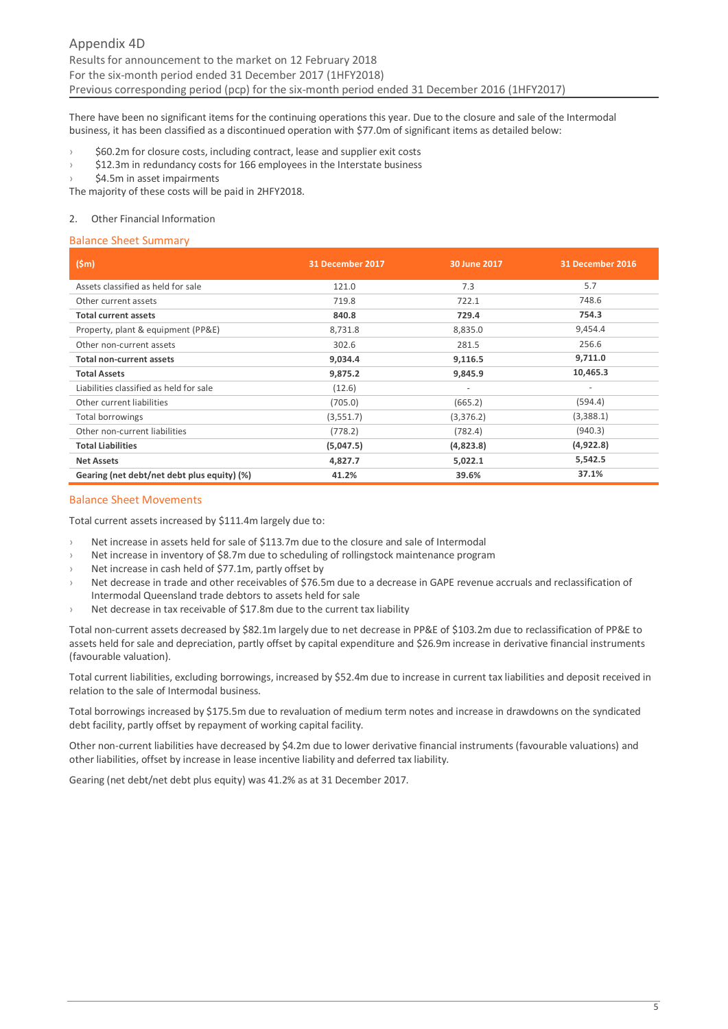There have been no significant items for the continuing operations this year. Due to the closure and sale of the Intermodal business, it has been classified as a discontinued operation with \$77.0m of significant items as detailed below:

\$60.2m for closure costs, including contract, lease and supplier exit costs

\$12.3m in redundancy costs for 166 employees in the Interstate business

\$4.5m in asset impairments

The majority of these costs will be paid in 2HFY2018.

#### 2. Other Financial Information

#### Balance Sheet Summary

| (Sm)                                        | 31 December 2017 | 30 June 2017             | 31 December 2016         |
|---------------------------------------------|------------------|--------------------------|--------------------------|
| Assets classified as held for sale          | 121.0            | 7.3                      | 5.7                      |
| Other current assets                        | 719.8            | 722.1                    | 748.6                    |
| <b>Total current assets</b>                 | 840.8            | 729.4                    | 754.3                    |
| Property, plant & equipment (PP&E)          | 8,731.8          | 8,835.0                  | 9,454.4                  |
| Other non-current assets                    | 302.6            | 281.5                    | 256.6                    |
| <b>Total non-current assets</b>             | 9,034.4          | 9,116.5                  | 9,711.0                  |
| <b>Total Assets</b>                         | 9,875.2          | 9,845.9                  | 10,465.3                 |
| Liabilities classified as held for sale     | (12.6)           | $\overline{\phantom{a}}$ | $\overline{\phantom{a}}$ |
| Other current liabilities                   | (705.0)          | (665.2)                  | (594.4)                  |
| Total borrowings                            | (3,551.7)        | (3,376.2)                | (3,388.1)                |
| Other non-current liabilities               | (778.2)          | (782.4)                  | (940.3)                  |
| <b>Total Liabilities</b>                    | (5,047.5)        | (4,823.8)                | (4,922.8)                |
| <b>Net Assets</b>                           | 4,827.7          | 5,022.1                  | 5,542.5                  |
| Gearing (net debt/net debt plus equity) (%) | 41.2%            | 39.6%                    | 37.1%                    |

#### Balance Sheet Movements

Total current assets increased by \$111.4m largely due to:

- Net increase in assets held for sale of \$113.7m due to the closure and sale of Intermodal
- › Net increase in inventory of \$8.7m due to scheduling of rollingstock maintenance program
- Net increase in cash held of \$77.1m, partly offset by
- Net decrease in trade and other receivables of \$76.5m due to a decrease in GAPE revenue accruals and reclassification of Intermodal Queensland trade debtors to assets held for sale
- Net decrease in tax receivable of \$17.8m due to the current tax liability

Total non-current assets decreased by \$82.1m largely due to net decrease in PP&E of \$103.2m due to reclassification of PP&E to assets held for sale and depreciation, partly offset by capital expenditure and \$26.9m increase in derivative financial instruments (favourable valuation).

Total current liabilities, excluding borrowings, increased by \$52.4m due to increase in current tax liabilities and deposit received in relation to the sale of Intermodal business.

Total borrowings increased by \$175.5m due to revaluation of medium term notes and increase in drawdowns on the syndicated debt facility, partly offset by repayment of working capital facility.

Other non-current liabilities have decreased by \$4.2m due to lower derivative financial instruments (favourable valuations) and other liabilities, offset by increase in lease incentive liability and deferred tax liability.

Gearing (net debt/net debt plus equity) was 41.2% as at 31 December 2017.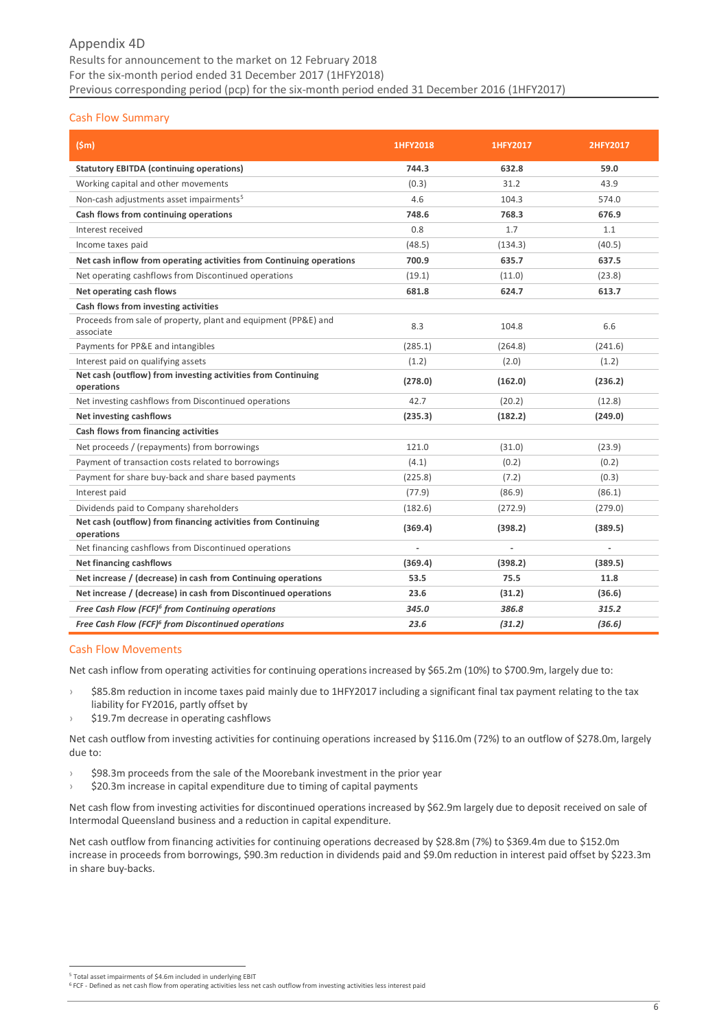# Appendix 4D Results for announcement to the market on 12 February 2018 For the six-month period ended 31 December 2017 (1HFY2018) Previous corresponding period (pcp) for the six-month period ended 31 December 2016 (1HFY2017)

# Cash Flow Summary

| (Sm)                                                                        | 1HFY2018 | 1HFY2017 | 2HFY2017 |
|-----------------------------------------------------------------------------|----------|----------|----------|
| <b>Statutory EBITDA (continuing operations)</b>                             | 744.3    | 632.8    | 59.0     |
| Working capital and other movements                                         | (0.3)    | 31.2     | 43.9     |
| Non-cash adjustments asset impairments <sup>5</sup>                         | 4.6      | 104.3    | 574.0    |
| Cash flows from continuing operations                                       | 748.6    | 768.3    | 676.9    |
| Interest received                                                           | 0.8      | 1.7      | 1.1      |
| Income taxes paid                                                           | (48.5)   | (134.3)  | (40.5)   |
| Net cash inflow from operating activities from Continuing operations        | 700.9    | 635.7    | 637.5    |
| Net operating cashflows from Discontinued operations                        | (19.1)   | (11.0)   | (23.8)   |
| Net operating cash flows                                                    | 681.8    | 624.7    | 613.7    |
| Cash flows from investing activities                                        |          |          |          |
| Proceeds from sale of property, plant and equipment (PP&E) and<br>associate | 8.3      | 104.8    | 6.6      |
| Payments for PP&E and intangibles                                           | (285.1)  | (264.8)  | (241.6)  |
| Interest paid on qualifying assets                                          | (1.2)    | (2.0)    | (1.2)    |
| Net cash (outflow) from investing activities from Continuing<br>operations  | (278.0)  | (162.0)  | (236.2)  |
| Net investing cashflows from Discontinued operations                        | 42.7     | (20.2)   | (12.8)   |
| <b>Net investing cashflows</b>                                              | (235.3)  | (182.2)  | (249.0)  |
| Cash flows from financing activities                                        |          |          |          |
| Net proceeds / (repayments) from borrowings                                 | 121.0    | (31.0)   | (23.9)   |
| Payment of transaction costs related to borrowings                          | (4.1)    | (0.2)    | (0.2)    |
| Payment for share buy-back and share based payments                         | (225.8)  | (7.2)    | (0.3)    |
| Interest paid                                                               | (77.9)   | (86.9)   | (86.1)   |
| Dividends paid to Company shareholders                                      | (182.6)  | (272.9)  | (279.0)  |
| Net cash (outflow) from financing activities from Continuing<br>operations  | (369.4)  | (398.2)  | (389.5)  |
| Net financing cashflows from Discontinued operations                        |          |          | ä,       |
| <b>Net financing cashflows</b>                                              | (369.4)  | (398.2)  | (389.5)  |
| Net increase / (decrease) in cash from Continuing operations                | 53.5     | 75.5     | 11.8     |
| Net increase / (decrease) in cash from Discontinued operations              | 23.6     | (31.2)   | (36.6)   |
| Free Cash Flow (FCF) <sup>6</sup> from Continuing operations                | 345.0    | 386.8    | 315.2    |
| Free Cash Flow (FCF) <sup>6</sup> from Discontinued operations              | 23.6     | (31.2)   | (36.6)   |

#### Cash Flow Movements

Net cash inflow from operating activities for continuing operations increased by \$65.2m (10%) to \$700.9m, largely due to:

- › \$85.8m reduction in income taxes paid mainly due to 1HFY2017 including a significant final tax payment relating to the tax liability for FY2016, partly offset by
- \$19.7m decrease in operating cashflows

Net cash outflow from investing activities for continuing operations increased by \$116.0m (72%) to an outflow of \$278.0m, largely due to:

- \$98.3m proceeds from the sale of the Moorebank investment in the prior year
- \$20.3m increase in capital expenditure due to timing of capital payments

Net cash flow from investing activities for discontinued operations increased by \$62.9m largely due to deposit received on sale of Intermodal Queensland business and a reduction in capital expenditure.

Net cash outflow from financing activities for continuing operations decreased by \$28.8m (7%) to \$369.4m due to \$152.0m increase in proceeds from borrowings, \$90.3m reduction in dividends paid and \$9.0m reduction in interest paid offset by \$223.3m in share buy-backs.

<sup>-</sup><sup>5</sup> Total asset impairments of \$4.6m included in underlying EBIT

 $6$  FCF - Defined as net cash flow from operating activities less net cash outflow from investing activities less interest paid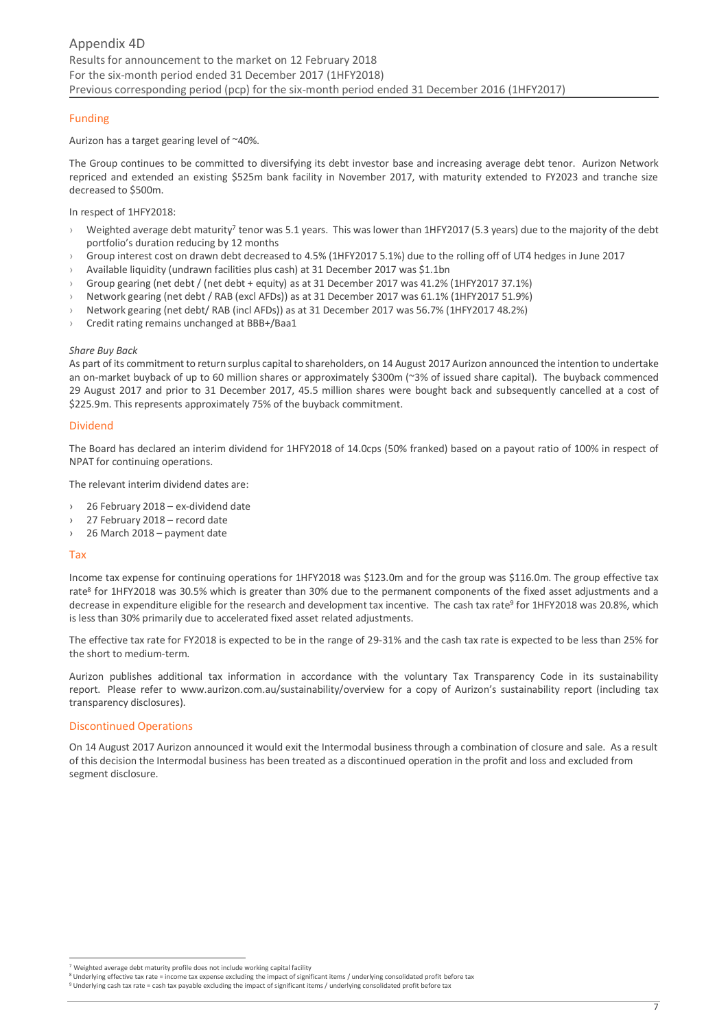# Funding

#### Aurizon has a target gearing level of ~40%.

The Group continues to be committed to diversifying its debt investor base and increasing average debt tenor. Aurizon Network repriced and extended an existing \$525m bank facility in November 2017, with maturity extended to FY2023 and tranche size decreased to \$500m.

#### In respect of 1HFY2018:

- $\rightarrow$  Weighted average debt maturity<sup>7</sup> tenor was 5.1 years. This was lower than 1HFY2017 (5.3 years) due to the majority of the debt portfolio's duration reducing by 12 months
- › Group interest cost on drawn debt decreased to 4.5% (1HFY2017 5.1%) due to the rolling off of UT4 hedges in June 2017
- › Available liquidity (undrawn facilities plus cash) at 31 December 2017 was \$1.1bn
- Group gearing (net debt / (net debt + equity) as at 31 December 2017 was 41.2% (1HFY2017 37.1%)
- › Network gearing (net debt / RAB (excl AFDs)) as at 31 December 2017 was 61.1% (1HFY2017 51.9%)
- › Network gearing (net debt/ RAB (incl AFDs)) as at 31 December 2017 was 56.7% (1HFY2017 48.2%)
- › Credit rating remains unchanged at BBB+/Baa1

#### *Share Buy Back*

As part of its commitment to return surplus capital to shareholders, on 14 August 2017 Aurizon announced the intention to undertake an on-market buyback of up to 60 million shares or approximately \$300m (~3% of issued share capital). The buyback commenced 29 August 2017 and prior to 31 December 2017, 45.5 million shares were bought back and subsequently cancelled at a cost of \$225.9m. This represents approximately 75% of the buyback commitment.

#### Dividend

The Board has declared an interim dividend for 1HFY2018 of 14.0cps (50% franked) based on a payout ratio of 100% in respect of NPAT for continuing operations.

The relevant interim dividend dates are:

- › 26 February 2018 ex-dividend date
- 27 February 2018 record date
- › 26 March 2018 payment date

#### Tax

.<br>-

Income tax expense for continuing operations for 1HFY2018 was \$123.0m and for the group was \$116.0m. The group effective tax rate<sup>8</sup> for 1HFY2018 was 30.5% which is greater than 30% due to the permanent components of the fixed asset adjustments and a decrease in expenditure eligible for the research and development tax incentive. The cash tax rate<sup>9</sup> for 1HFY2018 was 20.8%, which is less than 30% primarily due to accelerated fixed asset related adjustments.

The effective tax rate for FY2018 is expected to be in the range of 29-31% and the cash tax rate is expected to be less than 25% for the short to medium-term.

Aurizon publishes additional tax information in accordance with the voluntary Tax Transparency Code in its sustainability report. Please refer to [www.aurizon.com.au/sustainability/overview](http://www.aurizon.com.au/sustainability/overview) for a copy of Aurizon's sustainability report (including tax transparency disclosures).

#### Discontinued Operations

On 14 August 2017 Aurizon announced it would exit the Intermodal business through a combination of closure and sale. As a result of this decision the Intermodal business has been treated as a discontinued operation in the profit and loss and excluded from segment disclosure.

Weighted average debt maturity profile does not include working capital facility

<sup>&</sup>lt;sup>8</sup> Underlying effective tax rate = income tax expense excluding the impact of significant items / underlying consolidated profit before tax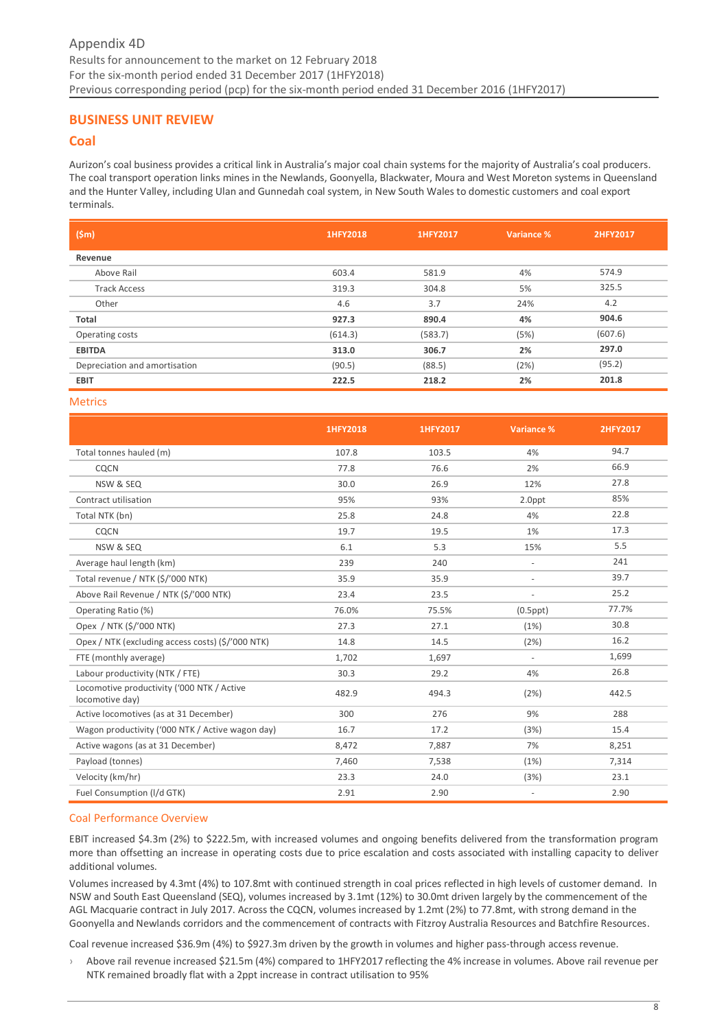# <span id="page-7-0"></span>**BUSINESS UNIT REVIEW**

# <span id="page-7-1"></span>**Coal**

Aurizon's coal business provides a critical link in Australia's major coal chain systems for the majority of Australia's coal producers. The coal transport operation links mines in the Newlands, Goonyella, Blackwater, Moura and West Moreton systems in Queensland and the Hunter Valley, including Ulan and Gunnedah coal system, in New South Wales to domestic customers and coal export terminals.

| (Sm)                          | 1HFY2018 | 1HFY2017 | Variance % | 2HFY2017 |
|-------------------------------|----------|----------|------------|----------|
| Revenue                       |          |          |            |          |
| Above Rail                    | 603.4    | 581.9    | 4%         | 574.9    |
| <b>Track Access</b>           | 319.3    | 304.8    | 5%         | 325.5    |
| Other                         | 4.6      | 3.7      | 24%        | 4.2      |
| Total                         | 927.3    | 890.4    | 4%         | 904.6    |
| Operating costs               | (614.3)  | (583.7)  | (5%)       | (607.6)  |
| <b>EBITDA</b>                 | 313.0    | 306.7    | 2%         | 297.0    |
| Depreciation and amortisation | (90.5)   | (88.5)   | (2%)       | (95.2)   |
| <b>EBIT</b>                   | 222.5    | 218.2    | 2%         | 201.8    |

#### Metrics

|                                                               | 1HFY2018 | 1HFY2017 | Variance %     | 2HFY2017 |
|---------------------------------------------------------------|----------|----------|----------------|----------|
| Total tonnes hauled (m)                                       | 107.8    | 103.5    | 4%             | 94.7     |
| CQCN                                                          | 77.8     | 76.6     | 2%             | 66.9     |
| NSW & SEQ                                                     | 30.0     | 26.9     | 12%            | 27.8     |
| Contract utilisation                                          | 95%      | 93%      | 2.0ppt         | 85%      |
| Total NTK (bn)                                                | 25.8     | 24.8     | 4%             | 22.8     |
| CQCN                                                          | 19.7     | 19.5     | 1%             | 17.3     |
| NSW & SEQ                                                     | 6.1      | 5.3      | 15%            | 5.5      |
| Average haul length (km)                                      | 239      | 240      | $\sim$         | 241      |
| Total revenue / NTK (\$/'000 NTK)                             | 35.9     | 35.9     | $\sim$         | 39.7     |
| Above Rail Revenue / NTK (\$/'000 NTK)                        | 23.4     | 23.5     |                | 25.2     |
| Operating Ratio (%)                                           | 76.0%    | 75.5%    | $(0.5$ ppt $)$ | 77.7%    |
| Opex / NTK (\$/'000 NTK)                                      | 27.3     | 27.1     | (1%)           | 30.8     |
| Opex / NTK (excluding access costs) (\$/'000 NTK)             | 14.8     | 14.5     | (2%)           | 16.2     |
| FTE (monthly average)                                         | 1,702    | 1,697    |                | 1,699    |
| Labour productivity (NTK / FTE)                               | 30.3     | 29.2     | 4%             | 26.8     |
| Locomotive productivity ('000 NTK / Active<br>locomotive day) | 482.9    | 494.3    | (2%)           | 442.5    |
| Active locomotives (as at 31 December)                        | 300      | 276      | 9%             | 288      |
| Wagon productivity ('000 NTK / Active wagon day)              | 16.7     | 17.2     | (3%)           | 15.4     |
| Active wagons (as at 31 December)                             | 8,472    | 7,887    | 7%             | 8,251    |
| Payload (tonnes)                                              | 7,460    | 7,538    | (1%)           | 7,314    |
| Velocity (km/hr)                                              | 23.3     | 24.0     | (3%)           | 23.1     |
| Fuel Consumption (I/d GTK)                                    | 2.91     | 2.90     |                | 2.90     |

#### Coal Performance Overview

EBIT increased \$4.3m (2%) to \$222.5m, with increased volumes and ongoing benefits delivered from the transformation program more than offsetting an increase in operating costs due to price escalation and costs associated with installing capacity to deliver additional volumes.

Volumes increased by 4.3mt (4%) to 107.8mt with continued strength in coal prices reflected in high levels of customer demand. In NSW and South East Queensland (SEQ), volumes increased by 3.1mt (12%) to 30.0mt driven largely by the commencement of the AGL Macquarie contract in July 2017. Across the CQCN, volumes increased by 1.2mt (2%) to 77.8mt, with strong demand in the Goonyella and Newlands corridors and the commencement of contracts with Fitzroy Australia Resources and Batchfire Resources.

Coal revenue increased \$36.9m (4%) to \$927.3m driven by the growth in volumes and higher pass-through access revenue.

› Above rail revenue increased \$21.5m (4%) compared to 1HFY2017 reflecting the 4% increase in volumes. Above rail revenue per NTK remained broadly flat with a 2ppt increase in contract utilisation to 95%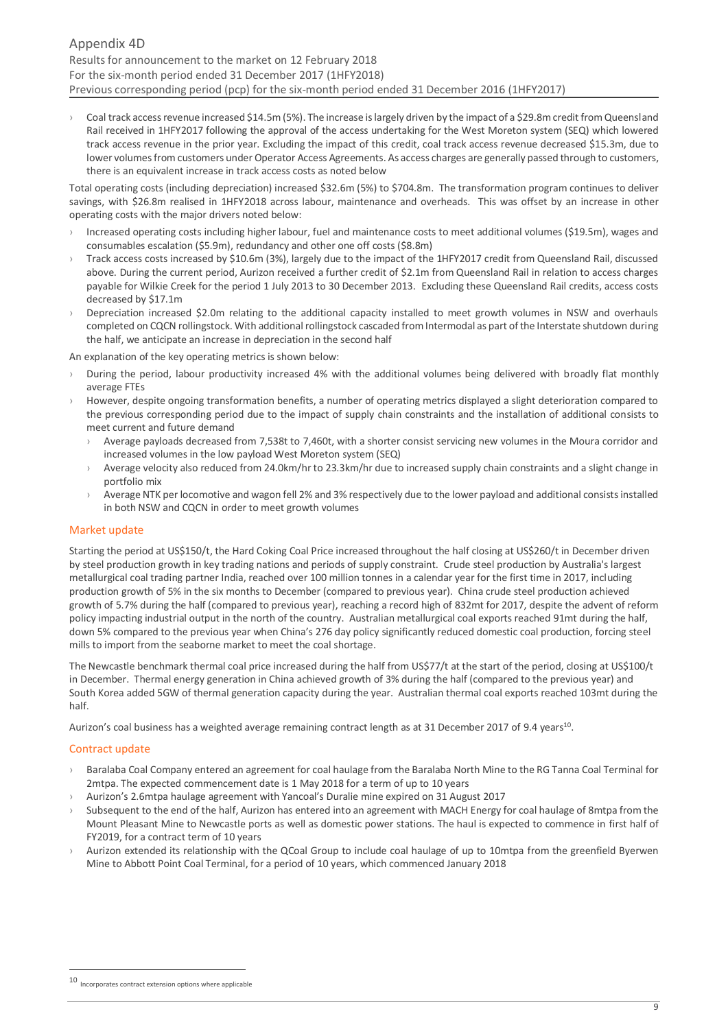› Coal track access revenue increased \$14.5m (5%). The increase is largely driven by the impact of a \$29.8m credit from Queensland Rail received in 1HFY2017 following the approval of the access undertaking for the West Moreton system (SEQ) which lowered track access revenue in the prior year. Excluding the impact of this credit, coal track access revenue decreased \$15.3m, due to lower volumes from customers under Operator Access Agreements. As access charges are generally passed through to customers, there is an equivalent increase in track access costs as noted below

Total operating costs (including depreciation) increased \$32.6m (5%) to \$704.8m. The transformation program continues to deliver savings, with \$26.8m realised in 1HFY2018 across labour, maintenance and overheads. This was offset by an increase in other operating costs with the major drivers noted below:

- Increased operating costs including higher labour, fuel and maintenance costs to meet additional volumes (\$19.5m), wages and consumables escalation (\$5.9m), redundancy and other one off costs (\$8.8m)
- › Track access costs increased by \$10.6m (3%), largely due to the impact of the 1HFY2017 credit from Queensland Rail, discussed above. During the current period, Aurizon received a further credit of \$2.1m from Queensland Rail in relation to access charges payable for Wilkie Creek for the period 1 July 2013 to 30 December 2013. Excluding these Queensland Rail credits, access costs decreased by \$17.1m
- Depreciation increased \$2.0m relating to the additional capacity installed to meet growth volumes in NSW and overhauls completed on CQCN rollingstock. With additional rollingstock cascaded from Intermodal as part of the Interstate shutdown during the half, we anticipate an increase in depreciation in the second half

An explanation of the key operating metrics is shown below:

- During the period, labour productivity increased 4% with the additional volumes being delivered with broadly flat monthly average FTEs
- › However, despite ongoing transformation benefits, a number of operating metrics displayed a slight deterioration compared to the previous corresponding period due to the impact of supply chain constraints and the installation of additional consists to meet current and future demand
	- Average payloads decreased from 7,538t to 7,460t, with a shorter consist servicing new volumes in the Moura corridor and increased volumes in the low payload West Moreton system (SEQ)
	- > Average velocity also reduced from 24.0km/hr to 23.3km/hr due to increased supply chain constraints and a slight change in portfolio mix
	- Average NTK per locomotive and wagon fell 2% and 3% respectively due to the lower payload and additional consists installed in both NSW and CQCN in order to meet growth volumes

# Market update

Starting the period at US\$150/t, the Hard Coking Coal Price increased throughout the half closing at US\$260/t in December driven by steel production growth in key trading nations and periods of supply constraint. Crude steel production by Australia's largest metallurgical coal trading partner India, reached over 100 million tonnes in a calendar year for the first time in 2017, including production growth of 5% in the six months to December (compared to previous year). China crude steel production achieved growth of 5.7% during the half (compared to previous year), reaching a record high of 832mt for 2017, despite the advent of reform policy impacting industrial output in the north of the country. Australian metallurgical coal exports reached 91mt during the half, down 5% compared to the previous year when China's 276 day policy significantly reduced domestic coal production, forcing steel mills to import from the seaborne market to meet the coal shortage.

The Newcastle benchmark thermal coal price increased during the half from US\$77/t at the start of the period, closing at US\$100/t in December. Thermal energy generation in China achieved growth of 3% during the half (compared to the previous year) and South Korea added 5GW of thermal generation capacity during the year. Australian thermal coal exports reached 103mt during the half.

Aurizon's coal business has a weighted average remaining contract length as at 31 December 2017 of 9.4 years<sup>10</sup>.

#### Contract update

-

- › Baralaba Coal Company entered an agreement for coal haulage from the Baralaba North Mine to the RG Tanna Coal Terminal for 2mtpa. The expected commencement date is 1 May 2018 for a term of up to 10 years
- › Aurizon's 2.6mtpa haulage agreement with Yancoal's Duralie mine expired on 31 August 2017
- Subsequent to the end of the half, Aurizon has entered into an agreement with MACH Energy for coal haulage of 8mtpa from the Mount Pleasant Mine to Newcastle ports as well as domestic power stations. The haul is expected to commence in first half of FY2019, for a contract term of 10 years
- Aurizon extended its relationship with the QCoal Group to include coal haulage of up to 10mtpa from the greenfield Byerwen Mine to Abbott Point Coal Terminal, for a period of 10 years, which commenced January 2018

 $10$  Incorporates contract extension options where applicable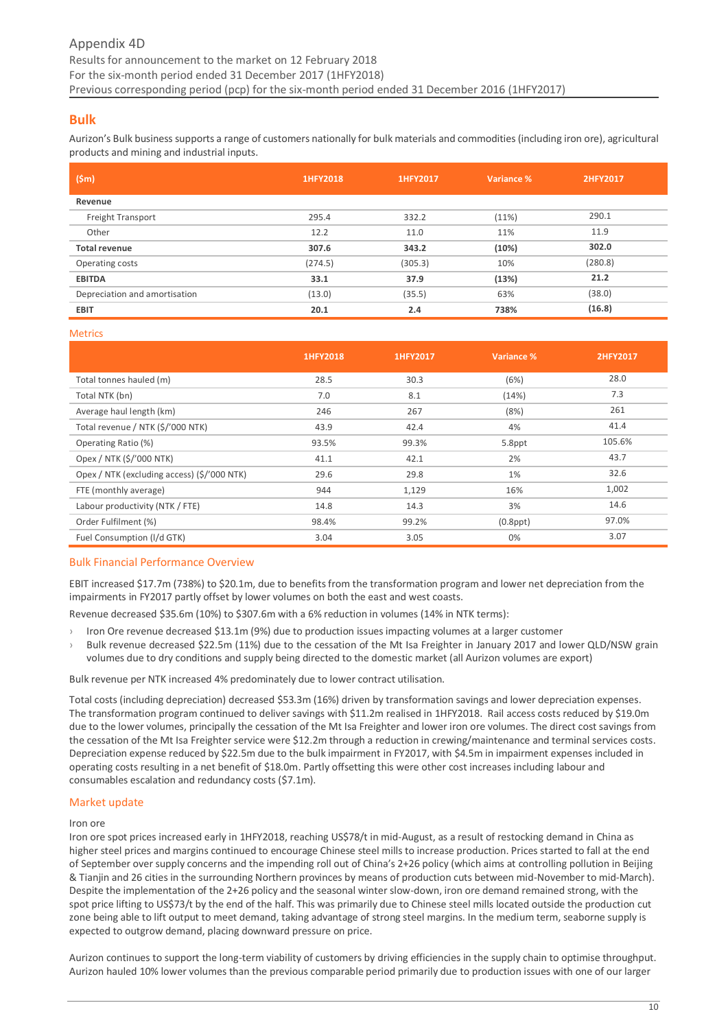# <span id="page-9-0"></span>**Bulk**

Aurizon's Bulk business supports a range of customers nationally for bulk materials and commodities (including iron ore), agricultural products and mining and industrial inputs.

| (Sm)                          | 1HFY2018 | 1HFY2017 | Variance % | 2HFY2017 |
|-------------------------------|----------|----------|------------|----------|
| Revenue                       |          |          |            |          |
| Freight Transport             | 295.4    | 332.2    | (11%)      | 290.1    |
| Other                         | 12.2     | 11.0     | 11%        | 11.9     |
| <b>Total revenue</b>          | 307.6    | 343.2    | (10%)      | 302.0    |
| Operating costs               | (274.5)  | (305.3)  | 10%        | (280.8)  |
| <b>EBITDA</b>                 | 33.1     | 37.9     | (13%)      | 21.2     |
| Depreciation and amortisation | (13.0)   | (35.5)   | 63%        | (38.0)   |
| <b>EBIT</b>                   | 20.1     | 2.4      | 738%       | (16.8)   |

#### **Metrics**

|                                             | 1HFY2018 | 1HFY2017 | Variance %     | 2HFY2017 |
|---------------------------------------------|----------|----------|----------------|----------|
| Total tonnes hauled (m)                     | 28.5     | 30.3     | (6%)           | 28.0     |
| Total NTK (bn)                              | 7.0      | 8.1      | (14%)          | 7.3      |
| Average haul length (km)                    | 246      | 267      | (8%)           | 261      |
| Total revenue / NTK (\$/'000 NTK)           | 43.9     | 42.4     | 4%             | 41.4     |
| Operating Ratio (%)                         | 93.5%    | 99.3%    | 5.8ppt         | 105.6%   |
| Opex / NTK (\$/'000 NTK)                    | 41.1     | 42.1     | 2%             | 43.7     |
| Opex / NTK (excluding access) (\$/'000 NTK) | 29.6     | 29.8     | 1%             | 32.6     |
| FTE (monthly average)                       | 944      | 1,129    | 16%            | 1,002    |
| Labour productivity (NTK / FTE)             | 14.8     | 14.3     | 3%             | 14.6     |
| Order Fulfilment (%)                        | 98.4%    | 99.2%    | $(0.8$ ppt $)$ | 97.0%    |
| Fuel Consumption (I/d GTK)                  | 3.04     | 3.05     | 0%             | 3.07     |

# Bulk Financial Performance Overview

EBIT increased \$17.7m (738%) to \$20.1m, due to benefits from the transformation program and lower net depreciation from the impairments in FY2017 partly offset by lower volumes on both the east and west coasts.

Revenue decreased \$35.6m (10%) to \$307.6m with a 6% reduction in volumes (14% in NTK terms):

- Iron Ore revenue decreased \$13.1m (9%) due to production issues impacting volumes at a larger customer
- Bulk revenue decreased \$22.5m (11%) due to the cessation of the Mt Isa Freighter in January 2017 and lower QLD/NSW grain volumes due to dry conditions and supply being directed to the domestic market (all Aurizon volumes are export)

Bulk revenue per NTK increased 4% predominately due to lower contract utilisation.

Total costs (including depreciation) decreased \$53.3m (16%) driven by transformation savings and lower depreciation expenses. The transformation program continued to deliver savings with \$11.2m realised in 1HFY2018. Rail access costs reduced by \$19.0m due to the lower volumes, principally the cessation of the Mt Isa Freighter and lower iron ore volumes. The direct cost savings from the cessation of the Mt Isa Freighter service were \$12.2m through a reduction in crewing/maintenance and terminal services costs. Depreciation expense reduced by \$22.5m due to the bulk impairment in FY2017, with \$4.5m in impairment expenses included in operating costs resulting in a net benefit of \$18.0m. Partly offsetting this were other cost increases including labour and consumables escalation and redundancy costs (\$7.1m).

# Market update

#### Iron ore

Iron ore spot prices increased early in 1HFY2018, reaching US\$78/t in mid-August, as a result of restocking demand in China as higher steel prices and margins continued to encourage Chinese steel mills to increase production. Prices started to fall at the end of September over supply concerns and the impending roll out of China's 2+26 policy (which aims at controlling pollution in Beijing & Tianjin and 26 cities in the surrounding Northern provinces by means of production cuts between mid-November to mid-March). Despite the implementation of the 2+26 policy and the seasonal winter slow-down, iron ore demand remained strong, with the spot price lifting to US\$73/t by the end of the half. This was primarily due to Chinese steel mills located outside the production cut zone being able to lift output to meet demand, taking advantage of strong steel margins. In the medium term, seaborne supply is expected to outgrow demand, placing downward pressure on price.

Aurizon continues to support the long-term viability of customers by driving efficiencies in the supply chain to optimise throughput. Aurizon hauled 10% lower volumes than the previous comparable period primarily due to production issues with one of our larger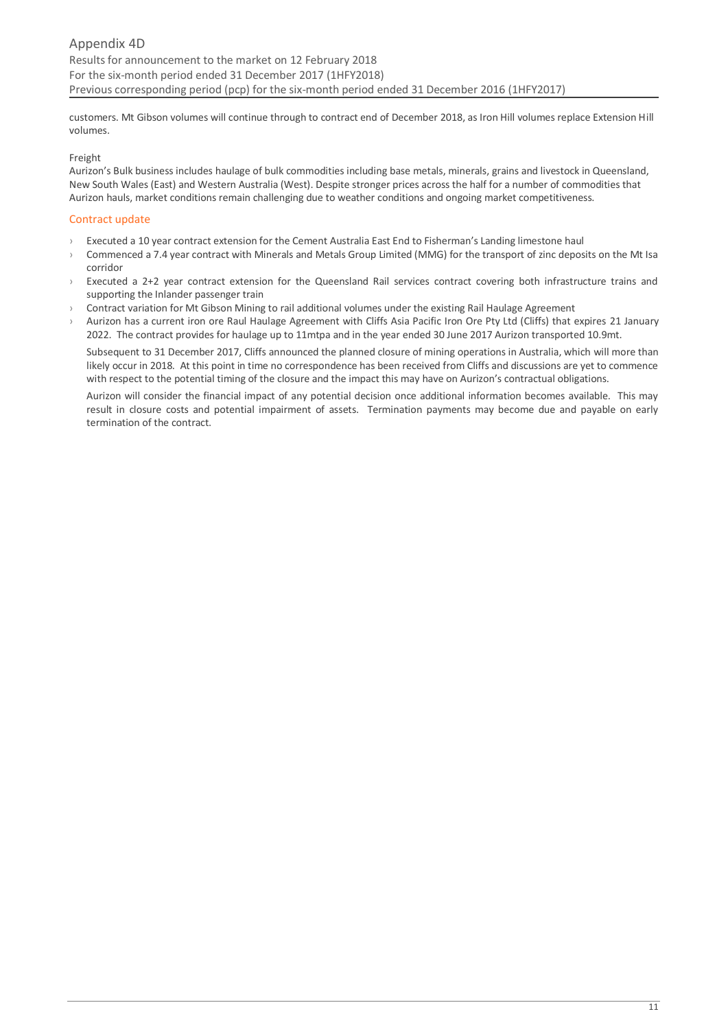customers. Mt Gibson volumes will continue through to contract end of December 2018, as Iron Hill volumes replace Extension Hill volumes.

#### Freight

Aurizon's Bulk business includes haulage of bulk commodities including base metals, minerals, grains and livestock in Queensland, New South Wales (East) and Western Australia (West). Despite stronger prices across the half for a number of commodities that Aurizon hauls, market conditions remain challenging due to weather conditions and ongoing market competitiveness.

# Contract update

- › Executed a 10 year contract extension for the Cement Australia East End to Fisherman's Landing limestone haul
- › Commenced a 7.4 year contract with Minerals and Metals Group Limited (MMG) for the transport of zinc deposits on the Mt Isa corridor
- Executed a 2+2 year contract extension for the Queensland Rail services contract covering both infrastructure trains and supporting the Inlander passenger train
- Contract variation for Mt Gibson Mining to rail additional volumes under the existing Rail Haulage Agreement
- Aurizon has a current iron ore Raul Haulage Agreement with Cliffs Asia Pacific Iron Ore Pty Ltd (Cliffs) that expires 21 January 2022. The contract provides for haulage up to 11mtpa and in the year ended 30 June 2017 Aurizon transported 10.9mt.

Subsequent to 31 December 2017, Cliffs announced the planned closure of mining operations in Australia, which will more than likely occur in 2018. At this point in time no correspondence has been received from Cliffs and discussions are yet to commence with respect to the potential timing of the closure and the impact this may have on Aurizon's contractual obligations.

Aurizon will consider the financial impact of any potential decision once additional information becomes available. This may result in closure costs and potential impairment of assets. Termination payments may become due and payable on early termination of the contract.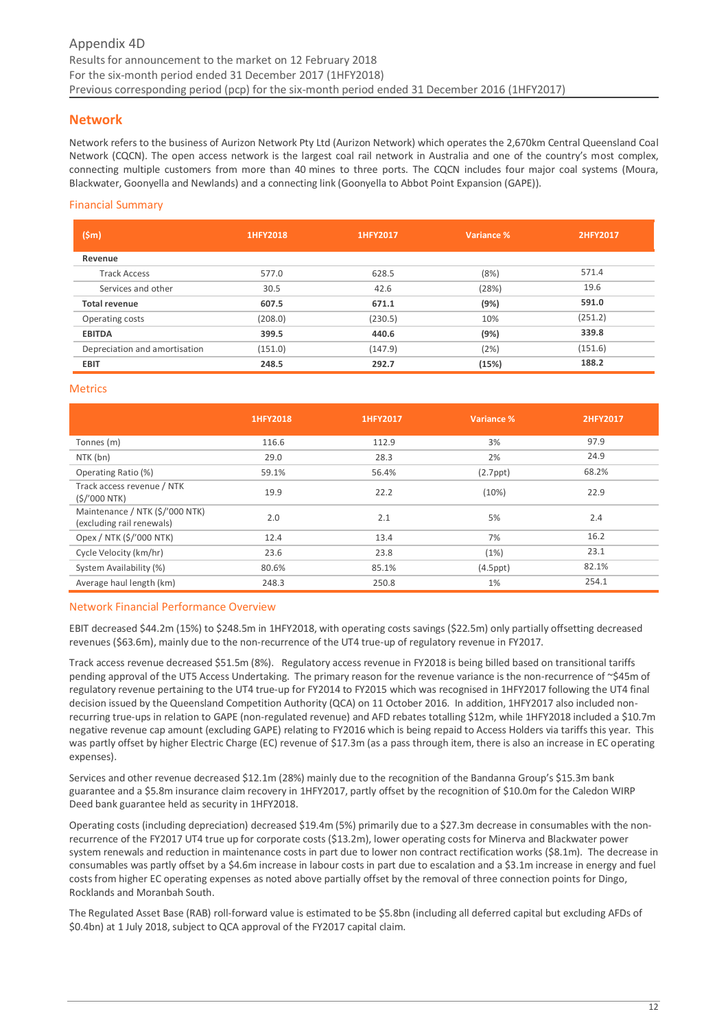# <span id="page-11-0"></span>**Network**

Network refers to the business of Aurizon Network Pty Ltd (Aurizon Network) which operates the 2,670km Central Queensland Coal Network (CQCN). The open access network is the largest coal rail network in Australia and one of the country's most complex, connecting multiple customers from more than 40 mines to three ports. The CQCN includes four major coal systems (Moura, Blackwater, Goonyella and Newlands) and a connecting link (Goonyella to Abbot Point Expansion (GAPE)).

# Financial Summary

| (Sm)                          | 1HFY2018 | 1HFY2017 | Variance % | 2HFY2017 |
|-------------------------------|----------|----------|------------|----------|
| Revenue                       |          |          |            |          |
| <b>Track Access</b>           | 577.0    | 628.5    | (8%)       | 571.4    |
| Services and other            | 30.5     | 42.6     | (28%)      | 19.6     |
| <b>Total revenue</b>          | 607.5    | 671.1    | (9%)       | 591.0    |
| Operating costs               | (208.0)  | (230.5)  | 10%        | (251.2)  |
| <b>EBITDA</b>                 | 399.5    | 440.6    | (9%)       | 339.8    |
| Depreciation and amortisation | (151.0)  | (147.9)  | (2%)       | (151.6)  |
| <b>EBIT</b>                   | 248.5    | 292.7    | (15%)      | 188.2    |

#### Metrics

|                                                              | 1HFY2018 | 1HFY2017 | Variance %     | 2HFY2017 |
|--------------------------------------------------------------|----------|----------|----------------|----------|
| Tonnes (m)                                                   | 116.6    | 112.9    | 3%             | 97.9     |
| NTK (bn)                                                     | 29.0     | 28.3     | 2%             | 24.9     |
| Operating Ratio (%)                                          | 59.1%    | 56.4%    | $(2.7$ ppt $)$ | 68.2%    |
| Track access revenue / NTK<br>$(S/000$ NTK)                  | 19.9     | 22.2     | (10%)          | 22.9     |
| Maintenance / NTK (\$/'000 NTK)<br>(excluding rail renewals) | 2.0      | 2.1      | 5%             | 2.4      |
| Opex / NTK (\$/'000 NTK)                                     | 12.4     | 13.4     | 7%             | 16.2     |
| Cycle Velocity (km/hr)                                       | 23.6     | 23.8     | (1%)           | 23.1     |
| System Availability (%)                                      | 80.6%    | 85.1%    | $(4.5$ ppt $)$ | 82.1%    |
| Average haul length (km)                                     | 248.3    | 250.8    | $1\%$          | 254.1    |

#### Network Financial Performance Overview

EBIT decreased \$44.2m (15%) to \$248.5m in 1HFY2018, with operating costs savings (\$22.5m) only partially offsetting decreased revenues (\$63.6m), mainly due to the non-recurrence of the UT4 true-up of regulatory revenue in FY2017.

Track access revenue decreased \$51.5m (8%). Regulatory access revenue in FY2018 is being billed based on transitional tariffs pending approval of the UT5 Access Undertaking. The primary reason for the revenue variance is the non-recurrence of ~\$45m of regulatory revenue pertaining to the UT4 true-up for FY2014 to FY2015 which was recognised in 1HFY2017 following the UT4 final decision issued by the Queensland Competition Authority (QCA) on 11 October 2016. In addition, 1HFY2017 also included nonrecurring true-ups in relation to GAPE (non-regulated revenue) and AFD rebates totalling \$12m, while 1HFY2018 included a \$10.7m negative revenue cap amount (excluding GAPE) relating to FY2016 which is being repaid to Access Holders via tariffs this year. This was partly offset by higher Electric Charge (EC) revenue of \$17.3m (as a pass through item, there is also an increase in EC operating expenses).

Services and other revenue decreased \$12.1m (28%) mainly due to the recognition of the Bandanna Group's \$15.3m bank guarantee and a \$5.8m insurance claim recovery in 1HFY2017, partly offset by the recognition of \$10.0m for the Caledon WIRP Deed bank guarantee held as security in 1HFY2018.

Operating costs (including depreciation) decreased \$19.4m (5%) primarily due to a \$27.3m decrease in consumables with the nonrecurrence of the FY2017 UT4 true up for corporate costs (\$13.2m), lower operating costs for Minerva and Blackwater power system renewals and reduction in maintenance costs in part due to lower non contract rectification works (\$8.1m). The decrease in consumables was partly offset by a \$4.6m increase in labour costs in part due to escalation and a \$3.1m increase in energy and fuel costs from higher EC operating expenses as noted above partially offset by the removal of three connection points for Dingo, Rocklands and Moranbah South.

The Regulated Asset Base (RAB) roll‐forward value is estimated to be \$5.8bn (including all deferred capital but excluding AFDs of \$0.4bn) at 1 July 2018, subject to QCA approval of the FY2017 capital claim.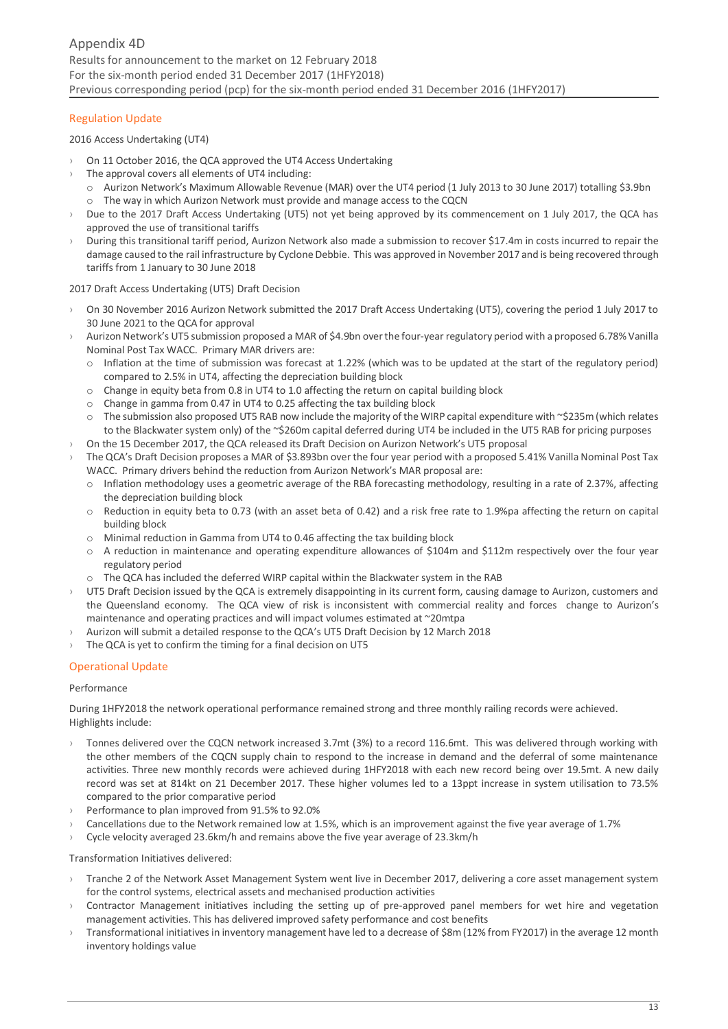# Regulation Update

2016 Access Undertaking (UT4)

- On 11 October 2016, the QCA approved the UT4 Access Undertaking
- The approval covers all elements of UT4 including:
	- o Aurizon Network's Maximum Allowable Revenue (MAR) over the UT4 period (1 July 2013 to 30 June 2017) totalling \$3.9bn o The way in which Aurizon Network must provide and manage access to the CQCN
- Due to the 2017 Draft Access Undertaking (UT5) not yet being approved by its commencement on 1 July 2017, the QCA has approved the use of transitional tariffs
- During this transitional tariff period, Aurizon Network also made a submission to recover \$17.4m in costs incurred to repair the damage caused to the rail infrastructure by Cyclone Debbie. This was approved in November 2017 and is being recovered through tariffs from 1 January to 30 June 2018

#### 2017 Draft Access Undertaking (UT5) Draft Decision

- › On 30 November 2016 Aurizon Network submitted the 2017 Draft Access Undertaking (UT5), covering the period 1 July 2017 to 30 June 2021 to the QCA for approval
- › Aurizon Network's UT5 submission proposed a MAR of \$4.9bn over the four-year regulatory period with a proposed 6.78% Vanilla Nominal Post Tax WACC. Primary MAR drivers are:
	- $\circ$  Inflation at the time of submission was forecast at 1.22% (which was to be updated at the start of the regulatory period) compared to 2.5% in UT4, affecting the depreciation building block
	- o Change in equity beta from 0.8 in UT4 to 1.0 affecting the return on capital building block
	- o Change in gamma from 0.47 in UT4 to 0.25 affecting the tax building block
	- o The submission also proposed UT5 RAB now include the majority of the WIRP capital expenditure with ~\$235m (which relates to the Blackwater system only) of the ~\$260m capital deferred during UT4 be included in the UT5 RAB for pricing purposes
- On the 15 December 2017, the QCA released its Draft Decision on Aurizon Network's UT5 proposal
- › The QCA's Draft Decision proposes a MAR of \$3.893bn over the four year period with a proposed 5.41% Vanilla Nominal Post Tax WACC. Primary drivers behind the reduction from Aurizon Network's MAR proposal are:
	- o Inflation methodology uses a geometric average of the RBA forecasting methodology, resulting in a rate of 2.37%, affecting the depreciation building block
	- o Reduction in equity beta to 0.73 (with an asset beta of 0.42) and a risk free rate to 1.9%pa affecting the return on capital building block
	- o Minimal reduction in Gamma from UT4 to 0.46 affecting the tax building block
	- o A reduction in maintenance and operating expenditure allowances of \$104m and \$112m respectively over the four year regulatory period
	- o The QCA has included the deferred WIRP capital within the Blackwater system in the RAB
- > UT5 Draft Decision issued by the QCA is extremely disappointing in its current form, causing damage to Aurizon, customers and the Queensland economy. The QCA view of risk is inconsistent with commercial reality and forces change to Aurizon's maintenance and operating practices and will impact volumes estimated at ~20mtpa
- › Aurizon will submit a detailed response to the QCA's UT5 Draft Decision by 12 March 2018
- The QCA is yet to confirm the timing for a final decision on UT5

# Operational Update

#### Performance

During 1HFY2018 the network operational performance remained strong and three monthly railing records were achieved. Highlights include:

- › Tonnes delivered over the CQCN network increased 3.7mt (3%) to a record 116.6mt. This was delivered through working with the other members of the CQCN supply chain to respond to the increase in demand and the deferral of some maintenance activities. Three new monthly records were achieved during 1HFY2018 with each new record being over 19.5mt. A new daily record was set at 814kt on 21 December 2017. These higher volumes led to a 13ppt increase in system utilisation to 73.5% compared to the prior comparative period
- › Performance to plan improved from 91.5% to 92.0%
- › Cancellations due to the Network remained low at 1.5%, which is an improvement against the five year average of 1.7%
- $\rightarrow$  Cycle velocity averaged 23.6km/h and remains above the five year average of 23.3km/h

Transformation Initiatives delivered:

- › Tranche 2 of the Network Asset Management System went live in December 2017, delivering a core asset management system for the control systems, electrical assets and mechanised production activities
- $\rightarrow$  Contractor Management initiatives including the setting up of pre-approved panel members for wet hire and vegetation management activities. This has delivered improved safety performance and cost benefits
- › Transformational initiatives in inventory management have led to a decrease of \$8m (12% from FY2017) in the average 12 month inventory holdings value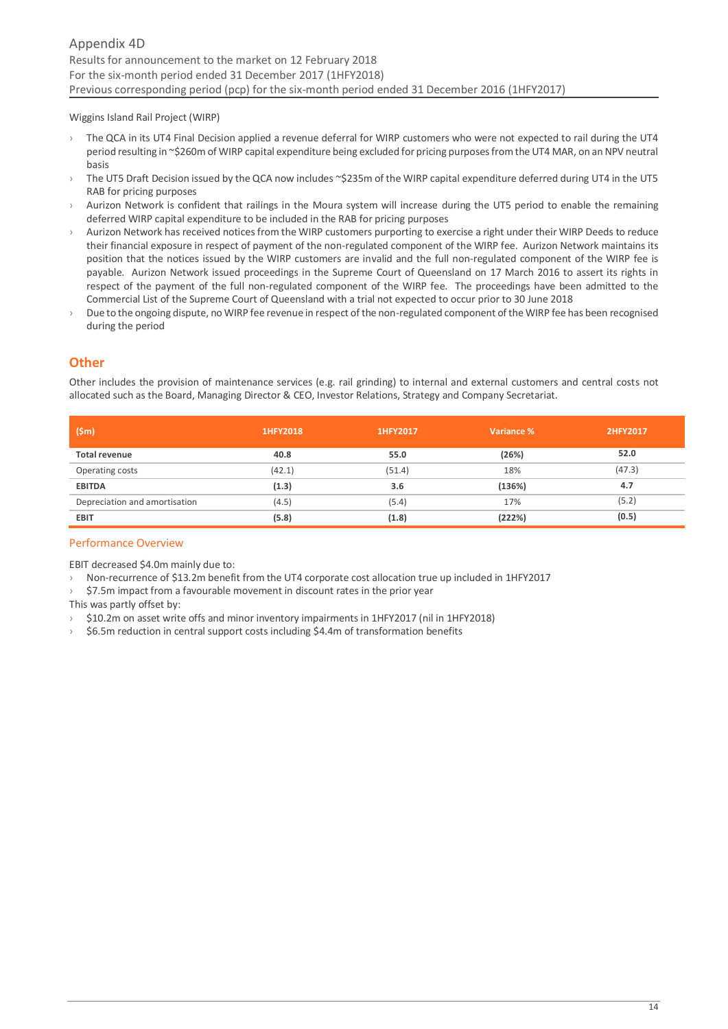Wiggins Island Rail Project (WIRP)

- › The QCA in its UT4 Final Decision applied a revenue deferral for WIRP customers who were not expected to rail during the UT4 period resulting in ~\$260m of WIRP capital expenditure being excluded for pricing purposes from the UT4 MAR, on an NPV neutral basis
- > The UT5 Draft Decision issued by the QCA now includes ~\$235m of the WIRP capital expenditure deferred during UT4 in the UT5 RAB for pricing purposes
- Aurizon Network is confident that railings in the Moura system will increase during the UT5 period to enable the remaining deferred WIRP capital expenditure to be included in the RAB for pricing purposes
- Aurizon Network has received notices from the WIRP customers purporting to exercise a right under their WIRP Deeds to reduce their financial exposure in respect of payment of the non-regulated component of the WIRP fee. Aurizon Network maintains its position that the notices issued by the WIRP customers are invalid and the full non-regulated component of the WIRP fee is payable. Aurizon Network issued proceedings in the Supreme Court of Queensland on 17 March 2016 to assert its rights in respect of the payment of the full non-regulated component of the WIRP fee. The proceedings have been admitted to the Commercial List of the Supreme Court of Queensland with a trial not expected to occur prior to 30 June 2018
- Due to the ongoing dispute, no WIRP fee revenue in respect of the non-regulated component of the WIRP fee has been recognised during the period

# <span id="page-13-0"></span>**Other**

Other includes the provision of maintenance services (e.g. rail grinding) to internal and external customers and central costs not allocated such as the Board, Managing Director & CEO, Investor Relations, Strategy and Company Secretariat.

| (Sm)                          | 1HFY2018 | 1HFY2017 | Variance % | 2HFY2017 |
|-------------------------------|----------|----------|------------|----------|
| <b>Total revenue</b>          | 40.8     | 55.0     | (26%)      | 52.0     |
| Operating costs               | (42.1)   | (51.4)   | 18%        | (47.3)   |
| <b>EBITDA</b>                 | (1.3)    | 3.6      | (136%)     | 4.7      |
| Depreciation and amortisation | (4.5)    | (5.4)    | 17%        | (5.2)    |
| <b>EBIT</b>                   | (5.8)    | (1.8)    | (222%)     | (0.5)    |

# Performance Overview

EBIT decreased \$4.0m mainly due to:

- › Non-recurrence of \$13.2m benefit from the UT4 corporate cost allocation true up included in 1HFY2017
- \$7.5m impact from a favourable movement in discount rates in the prior year

This was partly offset by:

- \$10.2m on asset write offs and minor inventory impairments in 1HFY2017 (nil in 1HFY2018)
- <span id="page-13-1"></span> $\rightarrow$  \$6.5m reduction in central support costs including \$4.4m of transformation benefits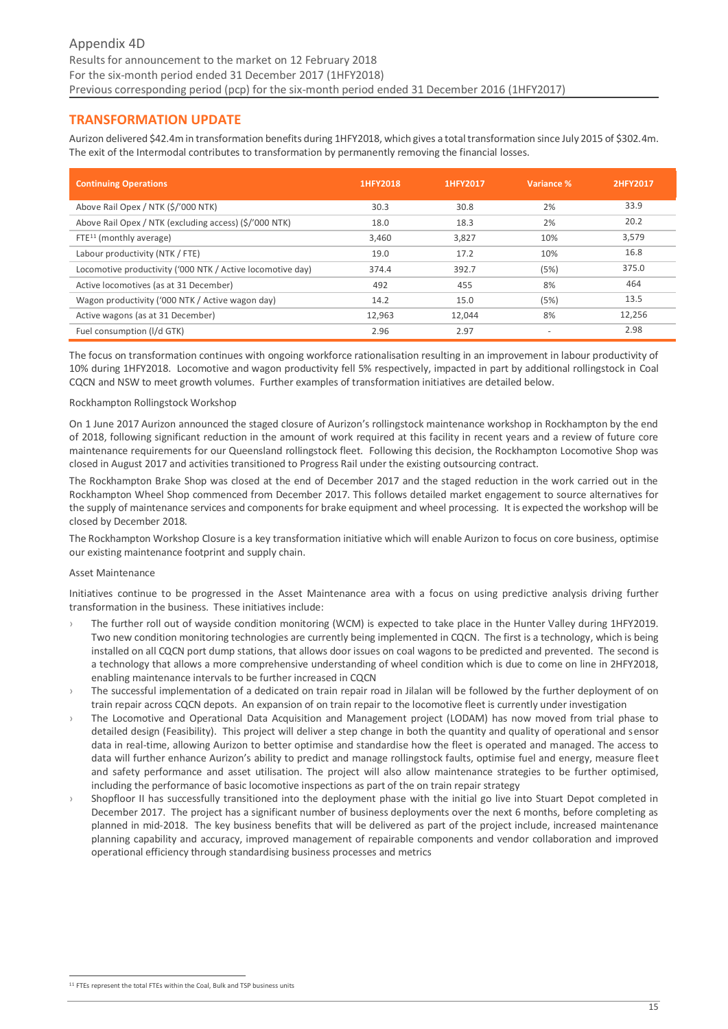# **TRANSFORMATION UPDATE**

Aurizon delivered \$42.4m in transformation benefits during 1HFY2018, which gives a total transformation since July 2015 of \$302.4m. The exit of the Intermodal contributes to transformation by permanently removing the financial losses.

| <b>Continuing Operations</b>                               | 1HFY2018 | 1HFY2017 | Variance % | 2HFY2017 |
|------------------------------------------------------------|----------|----------|------------|----------|
| Above Rail Opex / NTK (\$/'000 NTK)                        | 30.3     | 30.8     | 2%         | 33.9     |
| Above Rail Opex / NTK (excluding access) (\$/'000 NTK)     | 18.0     | 18.3     | 2%         | 20.2     |
| $FTE11$ (monthly average)                                  | 3,460    | 3,827    | 10%        | 3,579    |
| Labour productivity (NTK / FTE)                            | 19.0     | 17.2     | 10%        | 16.8     |
| Locomotive productivity ('000 NTK / Active locomotive day) | 374.4    | 392.7    | (5%)       | 375.0    |
| Active locomotives (as at 31 December)                     | 492      | 455      | 8%         | 464      |
| Wagon productivity ('000 NTK / Active wagon day)           | 14.2     | 15.0     | (5%)       | 13.5     |
| Active wagons (as at 31 December)                          | 12,963   | 12,044   | 8%         | 12,256   |
| Fuel consumption (I/d GTK)                                 | 2.96     | 2.97     | ٠          | 2.98     |

The focus on transformation continues with ongoing workforce rationalisation resulting in an improvement in labour productivity of 10% during 1HFY2018. Locomotive and wagon productivity fell 5% respectively, impacted in part by additional rollingstock in Coal CQCN and NSW to meet growth volumes. Further examples of transformation initiatives are detailed below.

#### Rockhampton Rollingstock Workshop

On 1 June 2017 Aurizon announced the staged closure of Aurizon's rollingstock maintenance workshop in Rockhampton by the end of 2018, following significant reduction in the amount of work required at this facility in recent years and a review of future core maintenance requirements for our Queensland rollingstock fleet. Following this decision, the Rockhampton Locomotive Shop was closed in August 2017 and activities transitioned to Progress Rail under the existing outsourcing contract.

The Rockhampton Brake Shop was closed at the end of December 2017 and the staged reduction in the work carried out in the Rockhampton Wheel Shop commenced from December 2017. This follows detailed market engagement to source alternatives for the supply of maintenance services and components for brake equipment and wheel processing. It is expected the workshop will be closed by December 2018.

The Rockhampton Workshop Closure is a key transformation initiative which will enable Aurizon to focus on core business, optimise our existing maintenance footprint and supply chain.

#### Asset Maintenance

Initiatives continue to be progressed in the Asset Maintenance area with a focus on using predictive analysis driving further transformation in the business. These initiatives include:

- The further roll out of wayside condition monitoring (WCM) is expected to take place in the Hunter Valley during 1HFY2019. Two new condition monitoring technologies are currently being implemented in CQCN. The first is a technology, which is being installed on all CQCN port dump stations, that allows door issues on coal wagons to be predicted and prevented. The second is a technology that allows a more comprehensive understanding of wheel condition which is due to come on line in 2HFY2018, enabling maintenance intervals to be further increased in CQCN
- The successful implementation of a dedicated on train repair road in Jilalan will be followed by the further deployment of on train repair across CQCN depots. An expansion of on train repair to the locomotive fleet is currently under investigation
- The Locomotive and Operational Data Acquisition and Management project (LODAM) has now moved from trial phase to detailed design (Feasibility). This project will deliver a step change in both the quantity and quality of operational and sensor data in real-time, allowing Aurizon to better optimise and standardise how the fleet is operated and managed. The access to data will further enhance Aurizon's ability to predict and manage rollingstock faults, optimise fuel and energy, measure fleet and safety performance and asset utilisation. The project will also allow maintenance strategies to be further optimised, including the performance of basic locomotive inspections as part of the on train repair strategy
- Shopfloor II has successfully transitioned into the deployment phase with the initial go live into Stuart Depot completed in December 2017. The project has a significant number of business deployments over the next 6 months, before completing as planned in mid-2018. The key business benefits that will be delivered as part of the project include, increased maintenance planning capability and accuracy, improved management of repairable components and vendor collaboration and improved operational efficiency through standardising business processes and metrics

<sup>-</sup><sup>11</sup> FTFs represent the total FTEs within the Coal, Bulk and TSP business units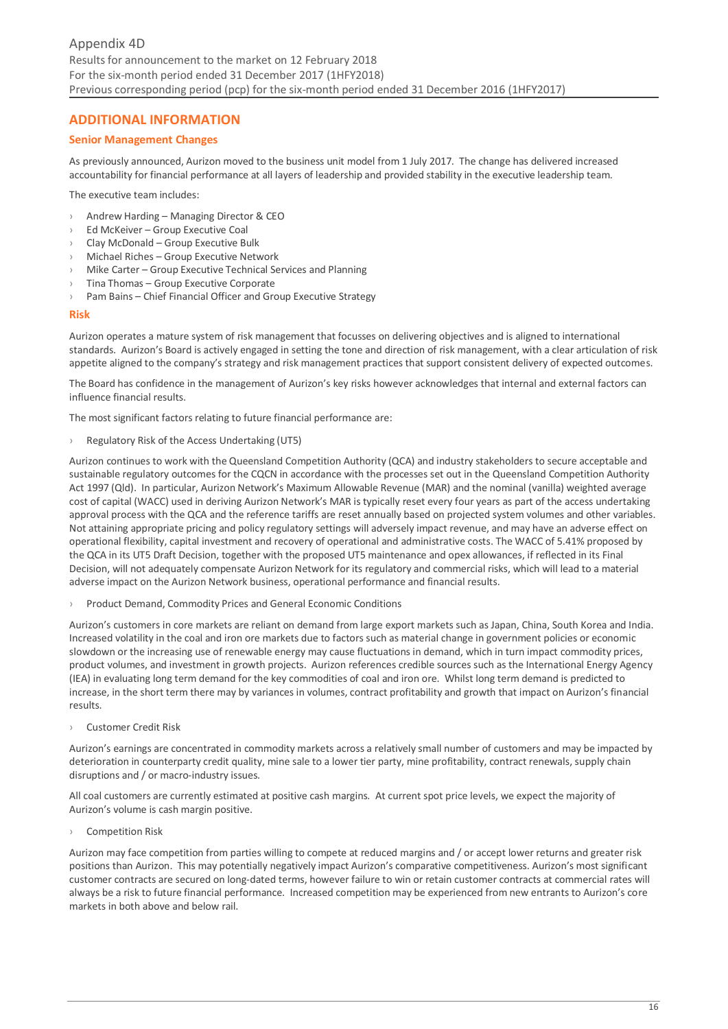# <span id="page-15-0"></span>**ADDITIONAL INFORMATION**

# **Senior Management Changes**

As previously announced, Aurizon moved to the business unit model from 1 July 2017. The change has delivered increased accountability for financial performance at all layers of leadership and provided stability in the executive leadership team.

The executive team includes:

- › Andrew Harding Managing Director & CEO
- Ed McKeiver Group Executive Coal
- › Clay McDonald Group Executive Bulk
- Michael Riches Group Executive Network
- Mike Carter Group Executive Technical Services and Planning
- Tina Thomas Group Executive Corporate
- › Pam Bains Chief Financial Officer and Group Executive Strategy

#### **Risk**

Aurizon operates a mature system of risk management that focusses on delivering objectives and is aligned to international standards. Aurizon's Board is actively engaged in setting the tone and direction of risk management, with a clear articulation of risk appetite aligned to the company's strategy and risk management practices that support consistent delivery of expected outcomes.

The Board has confidence in the management of Aurizon's key risks however acknowledges that internal and external factors can influence financial results.

The most significant factors relating to future financial performance are:

› Regulatory Risk of the Access Undertaking (UT5)

Aurizon continues to work with the Queensland Competition Authority (QCA) and industry stakeholders to secure acceptable and sustainable regulatory outcomes for the CQCN in accordance with the processes set out in the Queensland Competition Authority Act 1997 (Qld). In particular, Aurizon Network's Maximum Allowable Revenue (MAR) and the nominal (vanilla) weighted average cost of capital (WACC) used in deriving Aurizon Network's MAR is typically reset every four years as part of the access undertaking approval process with the QCA and the reference tariffs are reset annually based on projected system volumes and other variables. Not attaining appropriate pricing and policy regulatory settings will adversely impact revenue, and may have an adverse effect on operational flexibility, capital investment and recovery of operational and administrative costs. The WACC of 5.41% proposed by the QCA in its UT5 Draft Decision, together with the proposed UT5 maintenance and opex allowances, if reflected in its Final Decision, will not adequately compensate Aurizon Network for its regulatory and commercial risks, which will lead to a material adverse impact on the Aurizon Network business, operational performance and financial results.

› Product Demand, Commodity Prices and General Economic Conditions

Aurizon's customers in core markets are reliant on demand from large export markets such as Japan, China, South Korea and India. Increased volatility in the coal and iron ore markets due to factors such as material change in government policies or economic slowdown or the increasing use of renewable energy may cause fluctuations in demand, which in turn impact commodity prices, product volumes, and investment in growth projects. Aurizon references credible sources such as the International Energy Agency (IEA) in evaluating long term demand for the key commodities of coal and iron ore. Whilst long term demand is predicted to increase, in the short term there may by variances in volumes, contract profitability and growth that impact on Aurizon's financial results.

› Customer Credit Risk

Aurizon's earnings are concentrated in commodity markets across a relatively small number of customers and may be impacted by deterioration in counterparty credit quality, mine sale to a lower tier party, mine profitability, contract renewals, supply chain disruptions and / or macro‐industry issues.

All coal customers are currently estimated at positive cash margins. At current spot price levels, we expect the majority of Aurizon's volume is cash margin positive.

› Competition Risk

Aurizon may face competition from parties willing to compete at reduced margins and / or accept lower returns and greater risk positions than Aurizon. This may potentially negatively impact Aurizon's comparative competitiveness. Aurizon's most significant customer contracts are secured on long‐dated terms, however failure to win or retain customer contracts at commercial rates will always be a risk to future financial performance. Increased competition may be experienced from new entrants to Aurizon's core markets in both above and below rail.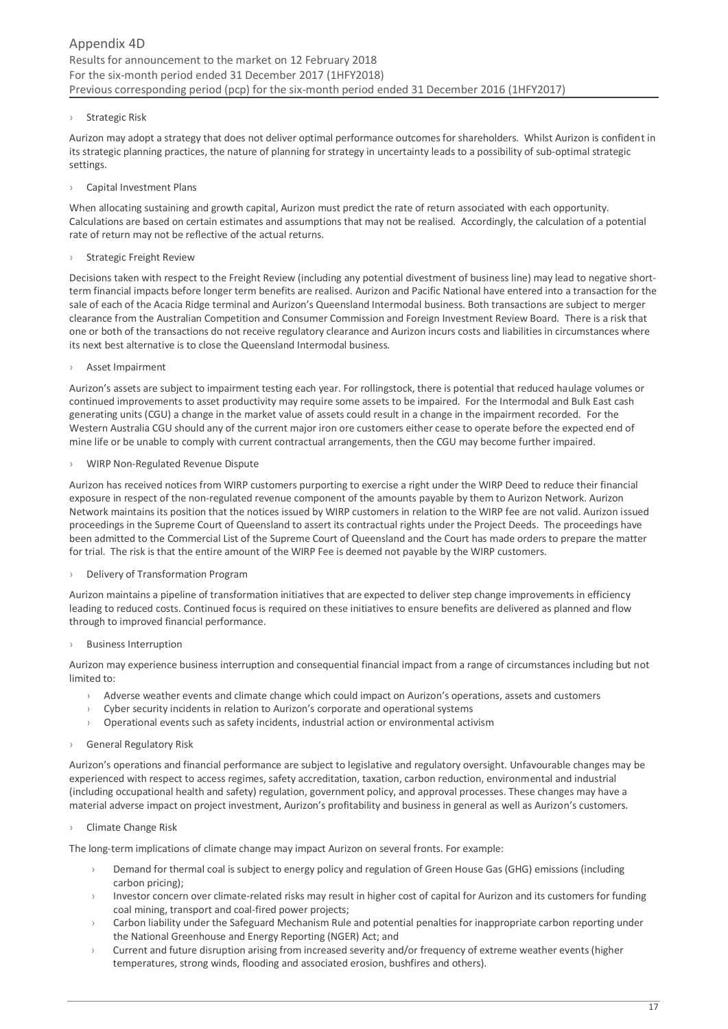#### › Strategic Risk

Aurizon may adopt a strategy that does not deliver optimal performance outcomes for shareholders. Whilst Aurizon is confident in its strategic planning practices, the nature of planning for strategy in uncertainty leads to a possibility of sub-optimal strategic settings.

› Capital Investment Plans

When allocating sustaining and growth capital, Aurizon must predict the rate of return associated with each opportunity. Calculations are based on certain estimates and assumptions that may not be realised. Accordingly, the calculation of a potential rate of return may not be reflective of the actual returns.

#### › Strategic Freight Review

Decisions taken with respect to the Freight Review (including any potential divestment of business line) may lead to negative shortterm financial impacts before longer term benefits are realised. Aurizon and Pacific National have entered into a transaction for the sale of each of the Acacia Ridge terminal and Aurizon's Queensland Intermodal business. Both transactions are subject to merger clearance from the Australian Competition and Consumer Commission and Foreign Investment Review Board. There is a risk that one or both of the transactions do not receive regulatory clearance and Aurizon incurs costs and liabilities in circumstances where its next best alternative is to close the Queensland Intermodal business.

#### › Asset Impairment

Aurizon's assets are subject to impairment testing each year. For rollingstock, there is potential that reduced haulage volumes or continued improvements to asset productivity may require some assets to be impaired. For the Intermodal and Bulk East cash generating units (CGU) a change in the market value of assets could result in a change in the impairment recorded. For the Western Australia CGU should any of the current major iron ore customers either cease to operate before the expected end of mine life or be unable to comply with current contractual arrangements, then the CGU may become further impaired.

#### › WIRP Non‐Regulated Revenue Dispute

Aurizon has received notices from WIRP customers purporting to exercise a right under the WIRP Deed to reduce their financial exposure in respect of the non-regulated revenue component of the amounts payable by them to Aurizon Network. Aurizon Network maintains its position that the notices issued by WIRP customers in relation to the WIRP fee are not valid. Aurizon issued proceedings in the Supreme Court of Queensland to assert its contractual rights under the Project Deeds. The proceedings have been admitted to the Commercial List of the Supreme Court of Queensland and the Court has made orders to prepare the matter for trial. The risk is that the entire amount of the WIRP Fee is deemed not payable by the WIRP customers.

# Delivery of Transformation Program

Aurizon maintains a pipeline of transformation initiatives that are expected to deliver step change improvements in efficiency leading to reduced costs. Continued focus is required on these initiatives to ensure benefits are delivered as planned and flow through to improved financial performance.

**Business Interruption** 

Aurizon may experience business interruption and consequential financial impact from a range of circumstances including but not limited to:

- › Adverse weather events and climate change which could impact on Aurizon's operations, assets and customers
- Cyber security incidents in relation to Aurizon's corporate and operational systems
- › Operational events such as safety incidents, industrial action or environmental activism
- › General Regulatory Risk

Aurizon's operations and financial performance are subject to legislative and regulatory oversight. Unfavourable changes may be experienced with respect to access regimes, safety accreditation, taxation, carbon reduction, environmental and industrial (including occupational health and safety) regulation, government policy, and approval processes. These changes may have a material adverse impact on project investment, Aurizon's profitability and business in general as well as Aurizon's customers.

› Climate Change Risk

The long-term implications of climate change may impact Aurizon on several fronts. For example:

- Demand for thermal coal is subject to energy policy and regulation of Green House Gas (GHG) emissions (including carbon pricing);
- Investor concern over climate-related risks may result in higher cost of capital for Aurizon and its customers for funding coal mining, transport and coal-fired power projects;
- $\rightarrow$  Carbon liability under the Safeguard Mechanism Rule and potential penalties for inappropriate carbon reporting under the National Greenhouse and Energy Reporting (NGER) Act; and
- Current and future disruption arising from increased severity and/or frequency of extreme weather events (higher temperatures, strong winds, flooding and associated erosion, bushfires and others).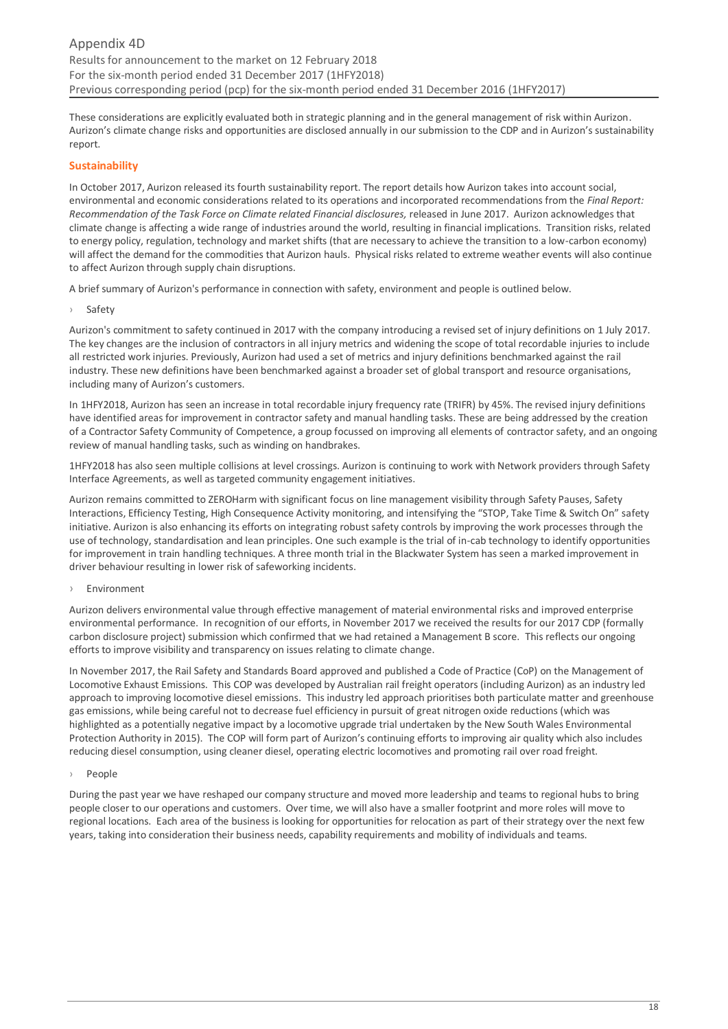These considerations are explicitly evaluated both in strategic planning and in the general management of risk within Aurizon. Aurizon's climate change risks and opportunities are disclosed annually in our submission to the CDP and in Aurizon's sustainability report.

# **Sustainability**

In October 2017, Aurizon released its fourth sustainability report. The report details how Aurizon takes into account social, environmental and economic considerations related to its operations and incorporated recommendations from the *Final Report: Recommendation of the Task Force on Climate related Financial disclosures,* released in June 2017. Aurizon acknowledges that climate change is affecting a wide range of industries around the world, resulting in financial implications. Transition risks, related to energy policy, regulation, technology and market shifts (that are necessary to achieve the transition to a low-carbon economy) will affect the demand for the commodities that Aurizon hauls. Physical risks related to extreme weather events will also continue to affect Aurizon through supply chain disruptions.

A brief summary of Aurizon's performance in connection with safety, environment and people is outlined below.

› Safety

Aurizon's commitment to safety continued in 2017 with the company introducing a revised set of injury definitions on 1 July 2017. The key changes are the inclusion of contractors in all injury metrics and widening the scope of total recordable injuries to include all restricted work injuries. Previously, Aurizon had used a set of metrics and injury definitions benchmarked against the rail industry. These new definitions have been benchmarked against a broader set of global transport and resource organisations, including many of Aurizon's customers.

In 1HFY2018, Aurizon has seen an increase in total recordable injury frequency rate (TRIFR) by 45%. The revised injury definitions have identified areas for improvement in contractor safety and manual handling tasks. These are being addressed by the creation of a Contractor Safety Community of Competence, a group focussed on improving all elements of contractor safety, and an ongoing review of manual handling tasks, such as winding on handbrakes.

1HFY2018 has also seen multiple collisions at level crossings. Aurizon is continuing to work with Network providers through Safety Interface Agreements, as well as targeted community engagement initiatives.

Aurizon remains committed to ZEROHarm with significant focus on line management visibility through Safety Pauses, Safety Interactions, Efficiency Testing, High Consequence Activity monitoring, and intensifying the "STOP, Take Time & Switch On" safety initiative. Aurizon is also enhancing its efforts on integrating robust safety controls by improving the work processes through the use of technology, standardisation and lean principles. One such example is the trial of in-cab technology to identify opportunities for improvement in train handling techniques. A three month trial in the Blackwater System has seen a marked improvement in driver behaviour resulting in lower risk of safeworking incidents.

# **Environment**

Aurizon delivers environmental value through effective management of material environmental risks and improved enterprise environmental performance. In recognition of our efforts, in November 2017 we received the results for our 2017 CDP (formally carbon disclosure project) submission which confirmed that we had retained a Management B score. This reflects our ongoing efforts to improve visibility and transparency on issues relating to climate change.

In November 2017, the Rail Safety and Standards Board approved and published a Code of Practice (CoP) on the Management of Locomotive Exhaust Emissions. This COP was developed by Australian rail freight operators (including Aurizon) as an industry led approach to improving locomotive diesel emissions. This industry led approach prioritises both particulate matter and greenhouse gas emissions, while being careful not to decrease fuel efficiency in pursuit of great nitrogen oxide reductions (which was highlighted as a potentially negative impact by a locomotive upgrade trial undertaken by the New South Wales Environmental Protection Authority in 2015). The COP will form part of Aurizon's continuing efforts to improving air quality which also includes reducing diesel consumption, using cleaner diesel, operating electric locomotives and promoting rail over road freight.

#### › People

During the past year we have reshaped our company structure and moved more leadership and teams to regional hubs to bring people closer to our operations and customers. Over time, we will also have a smaller footprint and more roles will move to regional locations. Each area of the business is looking for opportunities for relocation as part of their strategy over the next few years, taking into consideration their business needs, capability requirements and mobility of individuals and teams.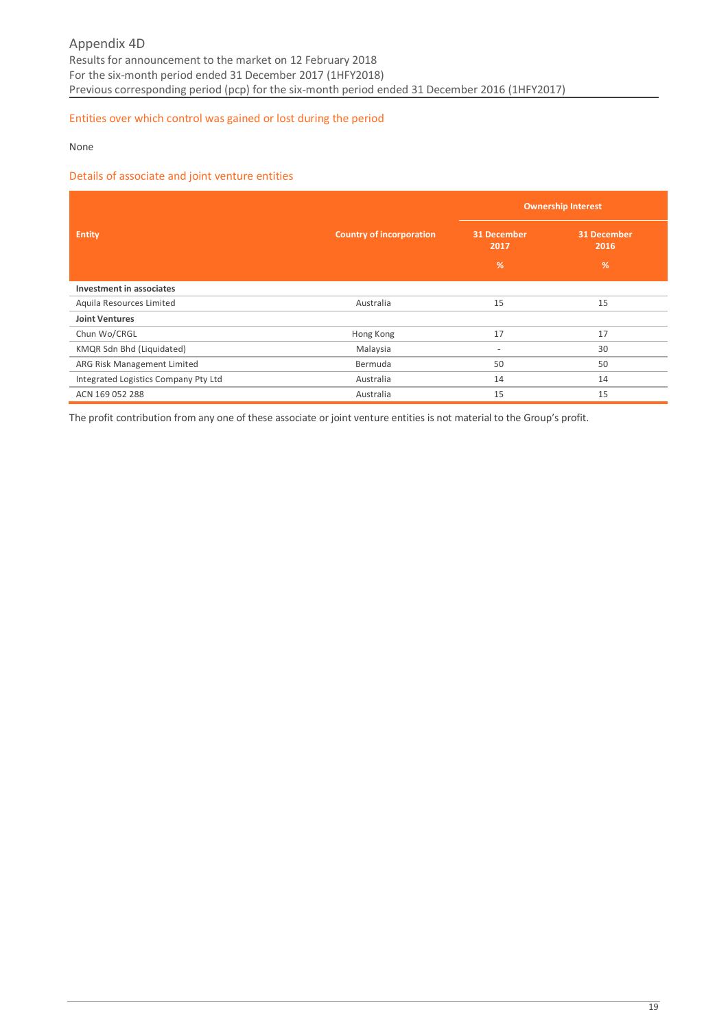# Entities over which control was gained or lost during the period

None

## Details of associate and joint venture entities

|                                      |                                 | <b>Ownership Interest</b> |                            |  |
|--------------------------------------|---------------------------------|---------------------------|----------------------------|--|
| <b>Entity</b>                        | <b>Country of incorporation</b> | 31 December<br>2017       | <b>31 December</b><br>2016 |  |
|                                      |                                 | %                         | %                          |  |
| Investment in associates             |                                 |                           |                            |  |
| Aquila Resources Limited             | Australia                       | 15                        | 15                         |  |
| <b>Joint Ventures</b>                |                                 |                           |                            |  |
| Chun Wo/CRGL                         | Hong Kong                       | 17                        | 17                         |  |
| KMQR Sdn Bhd (Liquidated)            | Malaysia                        | $\overline{\phantom{a}}$  | 30                         |  |
| ARG Risk Management Limited          | Bermuda                         | 50                        | 50                         |  |
| Integrated Logistics Company Pty Ltd | Australia                       | 14                        | 14                         |  |
| ACN 169 052 288                      | Australia                       | 15                        | 15                         |  |

The profit contribution from any one of these associate or joint venture entities is not material to the Group's profit.